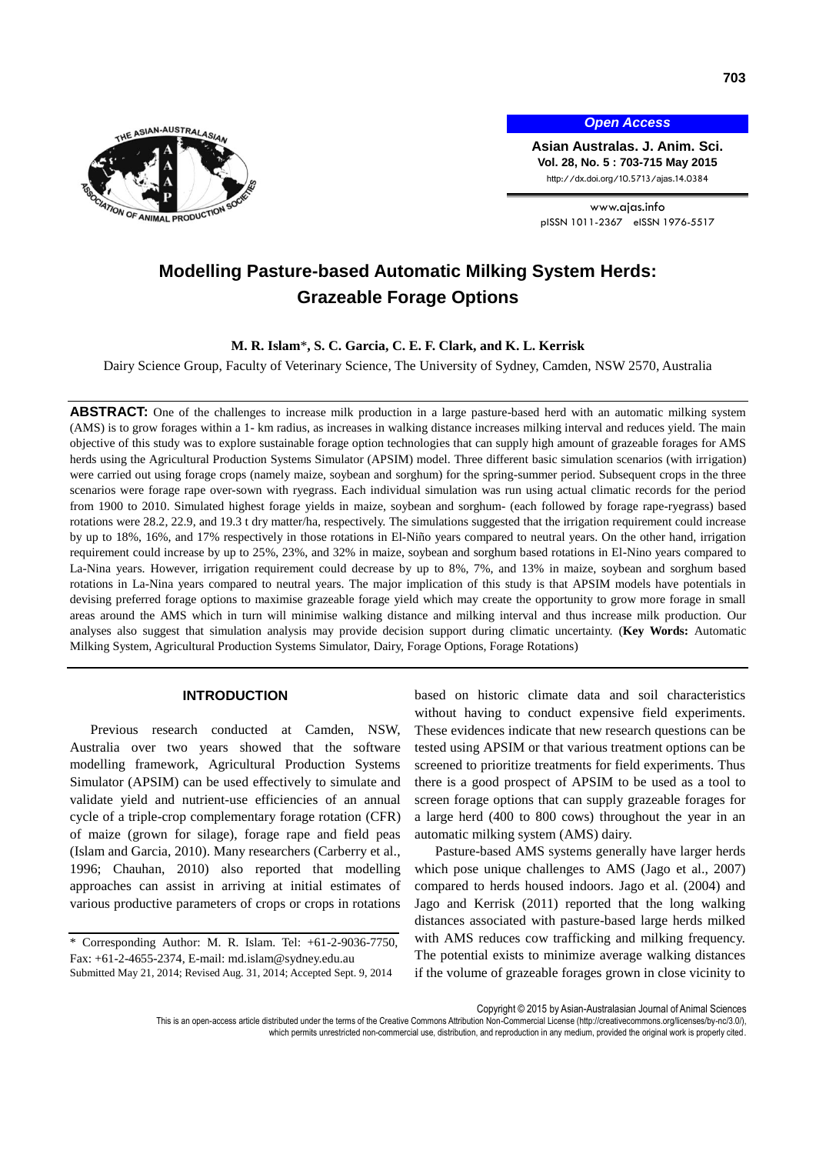

*Open Access*

**Asian Australas. J. Anim. Sci. Vol. 28, No. 5 : 703-715 May 2015** http://dx.doi.org/10.5713/ajas.14.0384

www.ajas.info pISSN 1011-2367 eISSN 1976-5517

# **Modelling Pasture-based Automatic Milking System Herds: Grazeable Forage Options**

**M. R. Islam**\***, S. C. Garcia, C. E. F. Clark, and K. L. Kerrisk**

Dairy Science Group, Faculty of Veterinary Science, The University of Sydney, Camden, NSW 2570, Australia

ABSTRACT: One of the challenges to increase milk production in a large pasture-based herd with an automatic milking system (AMS) is to grow forages within a 1- km radius, as increases in walking distance increases milking interval and reduces yield. The main objective of this study was to explore sustainable forage option technologies that can supply high amount of grazeable forages for AMS herds using the Agricultural Production Systems Simulator (APSIM) model. Three different basic simulation scenarios (with irrigation) were carried out using forage crops (namely maize, soybean and sorghum) for the spring-summer period. Subsequent crops in the three scenarios were forage rape over-sown with ryegrass. Each individual simulation was run using actual climatic records for the period from 1900 to 2010. Simulated highest forage yields in maize, soybean and sorghum- (each followed by forage rape-ryegrass) based rotations were 28.2, 22.9, and 19.3 t dry matter/ha, respectively. The simulations suggested that the irrigation requirement could increase by up to 18%, 16%, and 17% respectively in those rotations in El-Niño years compared to neutral years. On the other hand, irrigation requirement could increase by up to 25%, 23%, and 32% in maize, soybean and sorghum based rotations in El-Nino years compared to La-Nina years. However, irrigation requirement could decrease by up to 8%, 7%, and 13% in maize, soybean and sorghum based rotations in La-Nina years compared to neutral years. The major implication of this study is that APSIM models have potentials in devising preferred forage options to maximise grazeable forage yield which may create the opportunity to grow more forage in small areas around the AMS which in turn will minimise walking distance and milking interval and thus increase milk production. Our analyses also suggest that simulation analysis may provide decision support during climatic uncertainty. (**Key Words:** Automatic Milking System, Agricultural Production Systems Simulator, Dairy, Forage Options, Forage Rotations)

## **INTRODUCTION**

Previous research conducted at Camden, NSW, Australia over two years showed that the software modelling framework, Agricultural Production Systems Simulator (APSIM) can be used effectively to simulate and validate yield and nutrient-use efficiencies of an annual cycle of a triple-crop complementary forage rotation (CFR) of maize (grown for silage), forage rape and field peas (Islam and Garcia, 2010). Many researchers (Carberry et al., 1996; Chauhan, 2010) also reported that modelling approaches can assist in arriving at initial estimates of various productive parameters of crops or crops in rotations

based on historic climate data and soil characteristics without having to conduct expensive field experiments. These evidences indicate that new research questions can be tested using APSIM or that various treatment options can be screened to prioritize treatments for field experiments. Thus there is a good prospect of APSIM to be used as a tool to screen forage options that can supply grazeable forages for a large herd (400 to 800 cows) throughout the year in an automatic milking system (AMS) dairy.

Pasture-based AMS systems generally have larger herds which pose unique challenges to AMS (Jago et al., 2007) compared to herds housed indoors. Jago et al. (2004) and Jago and Kerrisk (2011) reported that the long walking distances associated with pasture-based large herds milked with AMS reduces cow trafficking and milking frequency. The potential exists to minimize average walking distances if the volume of grazeable forages grown in close vicinity to

Copyright © 2015 by Asian-Australasian Journal of Animal Sciences

This is an open-access article distributed under the terms of the Creative Commons Attribution Non-Commercial License [\(http://creativecommons.org/licenses/by-nc/3.0/\),](http://creativecommons.org/licenses/by-nc/3.0/) which permits unrestricted non-commercial use, distribution, and reproduction in any medium, provided the original work is properly cited

<sup>\*</sup> Corresponding Author: M. R. Islam. Tel: +61-2-9036-7750, Fax: +61-2-4655-2374, E-mail: md.islam@sydney.edu.au Submitted May 21, 2014; Revised Aug. 31, 2014; Accepted Sept. 9, 2014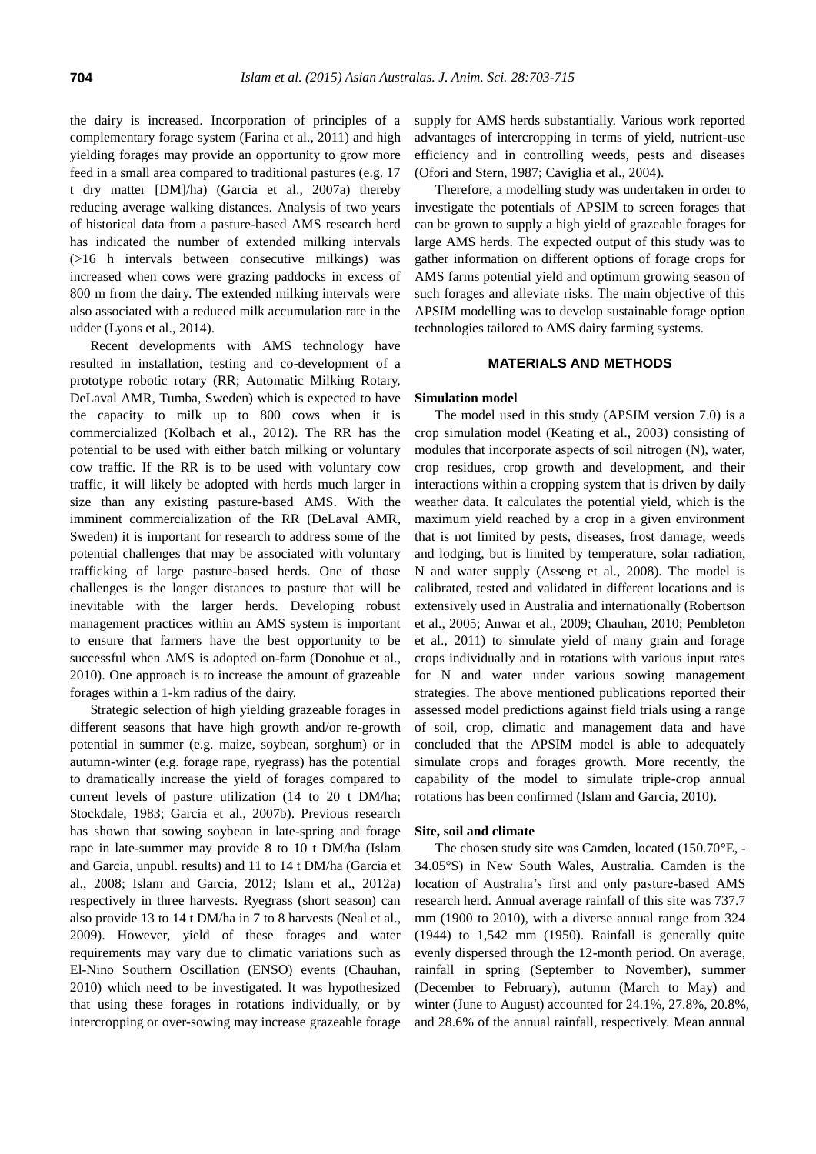the dairy is increased. Incorporation of principles of a complementary forage system (Farina et al., 2011) and high yielding forages may provide an opportunity to grow more feed in a small area compared to traditional pastures (e.g. 17 t dry matter [DM]/ha) (Garcia et al., 2007a) thereby reducing average walking distances. Analysis of two years of historical data from a pasture-based AMS research herd has indicated the number of extended milking intervals (>16 h intervals between consecutive milkings) was increased when cows were grazing paddocks in excess of 800 m from the dairy. The extended milking intervals were also associated with a reduced milk accumulation rate in the udder (Lyons et al., 2014).

Recent developments with AMS technology have resulted in installation, testing and co-development of a prototype robotic rotary (RR; Automatic Milking Rotary, DeLaval AMR, Tumba, Sweden) which is expected to have the capacity to milk up to 800 cows when it is commercialized (Kolbach et al., 2012). The RR has the potential to be used with either batch milking or voluntary cow traffic. If the RR is to be used with voluntary cow traffic, it will likely be adopted with herds much larger in size than any existing pasture-based AMS. With the imminent commercialization of the RR (DeLaval AMR, Sweden) it is important for research to address some of the potential challenges that may be associated with voluntary trafficking of large pasture-based herds. One of those challenges is the longer distances to pasture that will be inevitable with the larger herds. Developing robust management practices within an AMS system is important to ensure that farmers have the best opportunity to be successful when AMS is adopted on-farm (Donohue et al., 2010). One approach is to increase the amount of grazeable forages within a 1-km radius of the dairy.

Strategic selection of high yielding grazeable forages in different seasons that have high growth and/or re-growth potential in summer (e.g. maize, soybean, sorghum) or in autumn-winter (e.g. forage rape, ryegrass) has the potential to dramatically increase the yield of forages compared to current levels of pasture utilization (14 to 20 t DM/ha; Stockdale, 1983; Garcia et al., 2007b). Previous research has shown that sowing soybean in late-spring and forage rape in late-summer may provide 8 to 10 t DM/ha (Islam and Garcia, unpubl. results) and 11 to 14 t DM/ha (Garcia et al., 2008; Islam and Garcia, 2012; Islam et al., 2012a) respectively in three harvests. Ryegrass (short season) can also provide 13 to 14 t DM/ha in 7 to 8 harvests (Neal et al., 2009). However, yield of these forages and water requirements may vary due to climatic variations such as El-Nino Southern Oscillation (ENSO) events (Chauhan, 2010) which need to be investigated. It was hypothesized that using these forages in rotations individually, or by intercropping or over-sowing may increase grazeable forage

supply for AMS herds substantially. Various work reported advantages of intercropping in terms of yield, nutrient-use efficiency and in controlling weeds, pests and diseases (Ofori and Stern, 1987; Caviglia et al., 2004).

Therefore, a modelling study was undertaken in order to investigate the potentials of APSIM to screen forages that can be grown to supply a high yield of grazeable forages for large AMS herds. The expected output of this study was to gather information on different options of forage crops for AMS farms potential yield and optimum growing season of such forages and alleviate risks. The main objective of this APSIM modelling was to develop sustainable forage option technologies tailored to AMS dairy farming systems.

# **MATERIALS AND METHODS**

## **Simulation model**

The model used in this study (APSIM version 7.0) is a crop simulation model (Keating et al., 2003) consisting of modules that incorporate aspects of soil nitrogen (N), water, crop residues, crop growth and development, and their interactions within a cropping system that is driven by daily weather data. It calculates the potential yield, which is the maximum yield reached by a crop in a given environment that is not limited by pests, diseases, frost damage, weeds and lodging, but is limited by temperature, solar radiation, N and water supply (Asseng et al., 2008). The model is calibrated, tested and validated in different locations and is extensively used in Australia and internationally (Robertson et al., 2005; Anwar et al., 2009; Chauhan, 2010; Pembleton et al., 2011) to simulate yield of many grain and forage crops individually and in rotations with various input rates for N and water under various sowing management strategies. The above mentioned publications reported their assessed model predictions against field trials using a range of soil, crop, climatic and management data and have concluded that the APSIM model is able to adequately simulate crops and forages growth. More recently, the capability of the model to simulate triple-crop annual rotations has been confirmed (Islam and Garcia, 2010).

# **Site, soil and climate**

The chosen study site was Camden, located (150.70°E, - 34.05°S) in New South Wales, Australia. Camden is the location of Australia's first and only pasture-based AMS research herd. Annual average rainfall of this site was 737.7 mm (1900 to 2010), with a diverse annual range from 324 (1944) to 1,542 mm (1950). Rainfall is generally quite evenly dispersed through the 12-month period. On average, rainfall in spring (September to November), summer (December to February), autumn (March to May) and winter (June to August) accounted for 24.1%, 27.8%, 20.8%, and 28.6% of the annual rainfall, respectively. Mean annual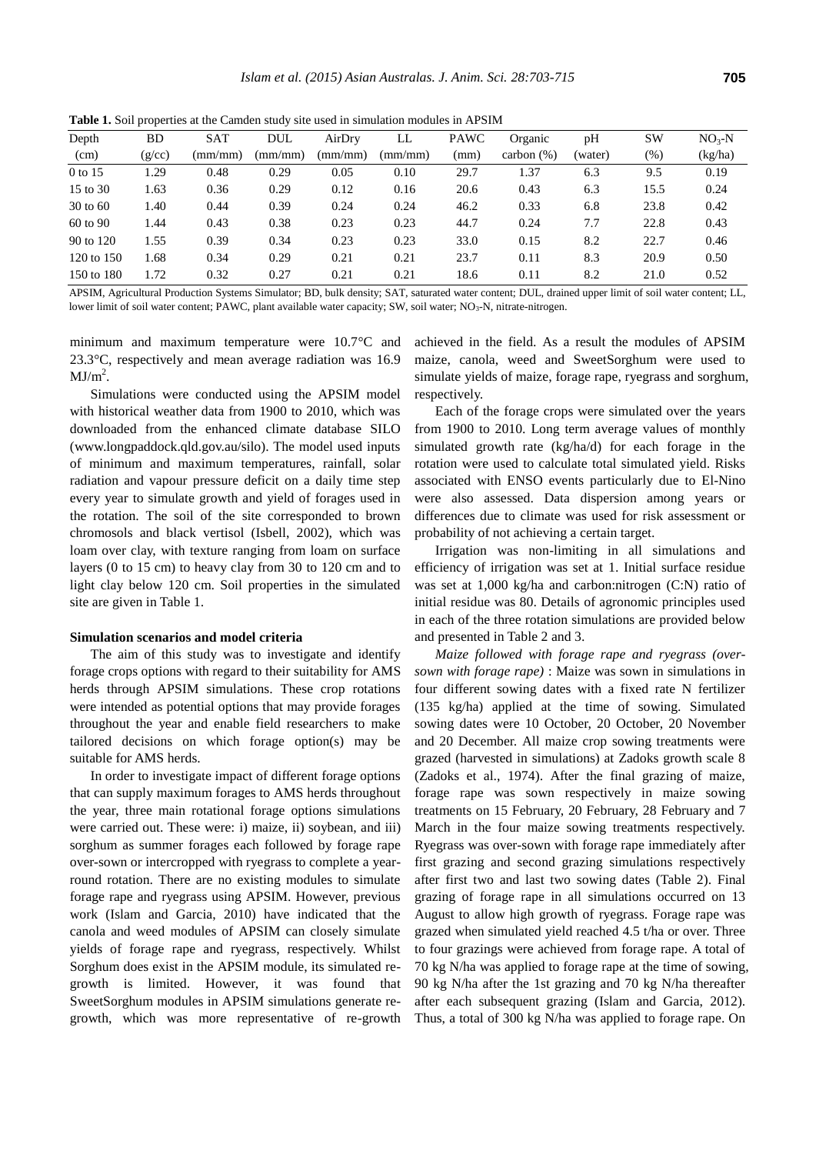**Table 1.** Soil properties at the Camden study site used in simulation modules in APSIM

| Depth               | BD     | <b>SAT</b> | DUL     | AirDry  | LL      | <b>PAWC</b> | Organic       | pH      | <b>SW</b> | $NO3-N$ |
|---------------------|--------|------------|---------|---------|---------|-------------|---------------|---------|-----------|---------|
| (cm)                | (g/cc) | (mm/mm)    | (mm/mm) | (mm/mm) | (mm/mm) | (mm)        | carbon $(\%)$ | (water) | (% )      | (kg/ha) |
| 0 to 15             | l.29   | 0.48       | 0.29    | 0.05    | 0.10    | 29.7        | 1.37          | 6.3     | 9.5       | 0.19    |
| 15 to 30            | 1.63   | 0.36       | 0.29    | 0.12    | 0.16    | 20.6        | 0.43          | 6.3     | 15.5      | 0.24    |
| $30 \text{ to } 60$ | 1.40   | 0.44       | 0.39    | 0.24    | 0.24    | 46.2        | 0.33          | 6.8     | 23.8      | 0.42    |
| 60 to 90            | 1.44   | 0.43       | 0.38    | 0.23    | 0.23    | 44.7        | 0.24          | 7.7     | 22.8      | 0.43    |
| 90 to 120           | 1.55   | 0.39       | 0.34    | 0.23    | 0.23    | 33.0        | 0.15          | 8.2     | 22.7      | 0.46    |
| 120 to 150          | 1.68   | 0.34       | 0.29    | 0.21    | 0.21    | 23.7        | 0.11          | 8.3     | 20.9      | 0.50    |
| 150 to 180          | 1.72   | 0.32       | 0.27    | 0.21    | 0.21    | 18.6        | 0.11          | 8.2     | 21.0      | 0.52    |

APSIM, Agricultural Production Systems Simulator; BD, bulk density; SAT, saturated water content; DUL, drained upper limit of soil water content; LL, lower limit of soil water content; PAWC, plant available water capacity; SW, soil water; NO<sub>3</sub>-N, nitrate-nitrogen.

minimum and maximum temperature were 10.7°C and 23.3°C, respectively and mean average radiation was 16.9  $MJ/m<sup>2</sup>$ .

Simulations were conducted using the APSIM model with historical weather data from 1900 to 2010, which was downloaded from the enhanced climate database SILO (www.longpaddock.qld.gov.au/silo). The model used inputs of minimum and maximum temperatures, rainfall, solar radiation and vapour pressure deficit on a daily time step every year to simulate growth and yield of forages used in the rotation. The soil of the site corresponded to brown chromosols and black vertisol (Isbell, 2002), which was loam over clay, with texture ranging from loam on surface layers (0 to 15 cm) to heavy clay from 30 to 120 cm and to light clay below 120 cm. Soil properties in the simulated site are given in Table 1.

#### **Simulation scenarios and model criteria**

The aim of this study was to investigate and identify forage crops options with regard to their suitability for AMS herds through APSIM simulations. These crop rotations were intended as potential options that may provide forages throughout the year and enable field researchers to make tailored decisions on which forage option(s) may be suitable for AMS herds.

In order to investigate impact of different forage options that can supply maximum forages to AMS herds throughout the year, three main rotational forage options simulations were carried out. These were: i) maize, ii) soybean, and iii) sorghum as summer forages each followed by forage rape over-sown or intercropped with ryegrass to complete a yearround rotation. There are no existing modules to simulate forage rape and ryegrass using APSIM. However, previous work (Islam and Garcia, 2010) have indicated that the canola and weed modules of APSIM can closely simulate yields of forage rape and ryegrass, respectively. Whilst Sorghum does exist in the APSIM module, its simulated regrowth is limited. However, it was found that SweetSorghum modules in APSIM simulations generate regrowth, which was more representative of re-growth

achieved in the field. As a result the modules of APSIM maize, canola, weed and SweetSorghum were used to simulate yields of maize, forage rape, ryegrass and sorghum, respectively.

Each of the forage crops were simulated over the years from 1900 to 2010. Long term average values of monthly simulated growth rate (kg/ha/d) for each forage in the rotation were used to calculate total simulated yield. Risks associated with ENSO events particularly due to El-Nino were also assessed. Data dispersion among years or differences due to climate was used for risk assessment or probability of not achieving a certain target.

Irrigation was non-limiting in all simulations and efficiency of irrigation was set at 1. Initial surface residue was set at 1,000 kg/ha and carbon:nitrogen (C:N) ratio of initial residue was 80. Details of agronomic principles used in each of the three rotation simulations are provided below and presented in Table 2 and 3.

*Maize followed with forage rape and ryegrass (oversown with forage rape)* : Maize was sown in simulations in four different sowing dates with a fixed rate N fertilizer (135 kg/ha) applied at the time of sowing. Simulated sowing dates were 10 October, 20 October, 20 November and 20 December. All maize crop sowing treatments were grazed (harvested in simulations) at Zadoks growth scale 8 (Zadoks et al., 1974). After the final grazing of maize, forage rape was sown respectively in maize sowing treatments on 15 February, 20 February, 28 February and 7 March in the four maize sowing treatments respectively. Ryegrass was over-sown with forage rape immediately after first grazing and second grazing simulations respectively after first two and last two sowing dates (Table 2). Final grazing of forage rape in all simulations occurred on 13 August to allow high growth of ryegrass. Forage rape was grazed when simulated yield reached 4.5 t/ha or over. Three to four grazings were achieved from forage rape. A total of 70 kg N/ha was applied to forage rape at the time of sowing, 90 kg N/ha after the 1st grazing and 70 kg N/ha thereafter after each subsequent grazing (Islam and Garcia, 2012). Thus, a total of 300 kg N/ha was applied to forage rape. On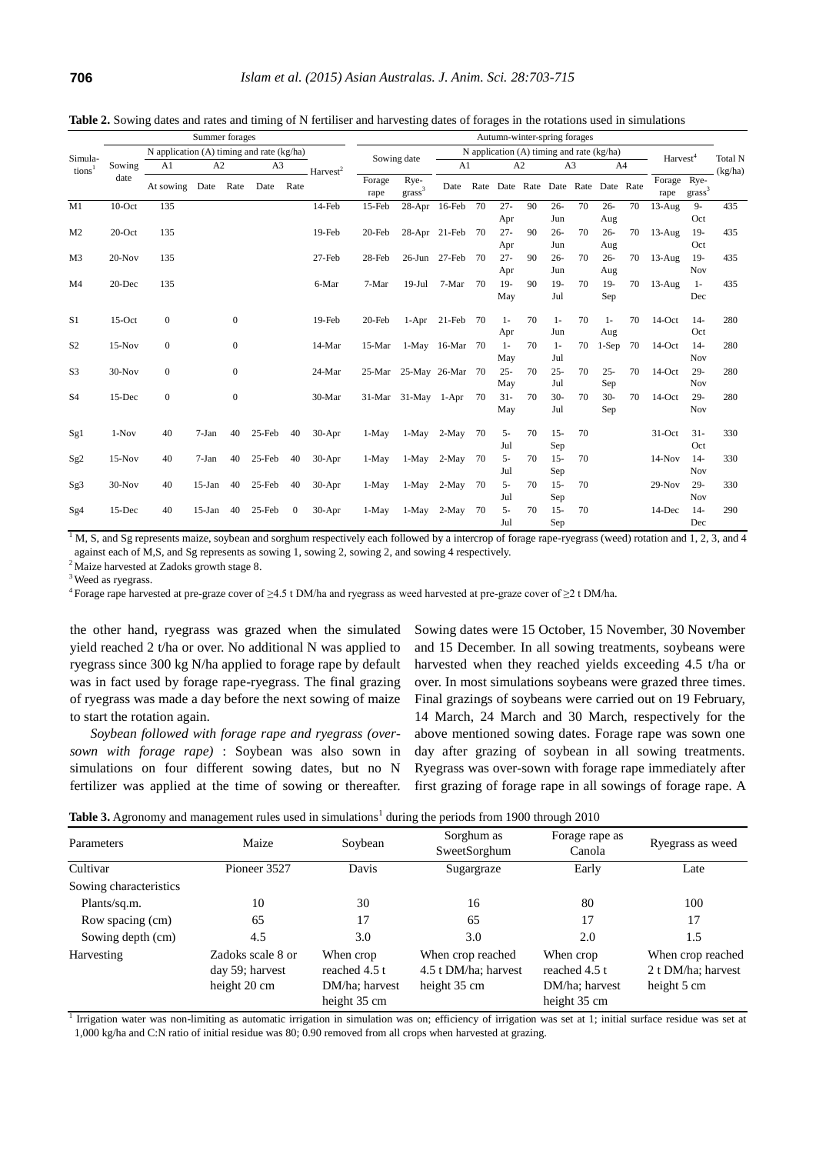|                | Summer forages |                                           |           |                  |                |      | Autumn-winter-spring forages |                |                           |                 |    |                                               |    |               |                |               |    |                      |                    |         |
|----------------|----------------|-------------------------------------------|-----------|------------------|----------------|------|------------------------------|----------------|---------------------------|-----------------|----|-----------------------------------------------|----|---------------|----------------|---------------|----|----------------------|--------------------|---------|
| Simula-        |                | N application (A) timing and rate (kg/ha) |           |                  |                |      |                              |                | Sowing date               |                 |    | N application $(A)$ timing and rate $(kg/ha)$ |    |               |                |               |    | Harvest <sup>4</sup> |                    | Total N |
| tions          | Sowing         | A1                                        | A2        |                  | A <sub>3</sub> |      | Harvest <sup>2</sup>         |                |                           | A1              |    |                                               | A2 |               | A <sub>3</sub> | A4            |    |                      |                    | (kg/ha) |
|                | date           | At sowing                                 | Date Rate |                  | Date           | Rate |                              | Forage<br>rape | Rye-<br>$\mbox{grass}^3$  | Date            |    | Rate Date Rate Date Rate Date Rate            |    |               |                |               |    | Forage Rye-<br>rape  | grass <sup>3</sup> |         |
| M1             | $10$ -Oct      | 135                                       |           |                  |                |      | 14-Feb                       | 15-Feb         | 28-Apr                    | 16-Feb          | 70 | $27 -$<br>Apr                                 | 90 | $26 -$<br>Jun | 70             | $26 -$<br>Aug | 70 | $13-Aug$             | $9 -$<br>Oct       | 435     |
| M <sub>2</sub> | $20$ -Oct      | 135                                       |           |                  |                |      | 19-Feb                       | 20-Feb         |                           | 28-Apr 21-Feb   | 70 | $27 -$<br>Apr                                 | 90 | $26 -$<br>Jun | 70             | $26 -$<br>Aug | 70 | $13-Aug$             | $19-$<br>Oct       | 435     |
| M <sub>3</sub> | $20-Nov$       | 135                                       |           |                  |                |      | 27-Feb                       | 28-Feb         | $26$ -Jun                 | $27$ -Feb       | 70 | $27 -$<br>Apr                                 | 90 | $26 -$<br>Jun | 70             | $26 -$<br>Aug | 70 | $13-Aug$             | $19-$<br>Nov       | 435     |
| M <sub>4</sub> | $20$ -Dec      | 135                                       |           |                  |                |      | 6-Mar                        | 7-Mar          | $19-Jul$                  | 7-Mar           | 70 | $19-$<br>May                                  | 90 | $19-$<br>Jul  | 70             | $19-$<br>Sep  | 70 | $13-Aug$             | $1-$<br>Dec        | 435     |
| S <sub>1</sub> | $15-Oct$       | $\mathbf{0}$                              |           | $\mathbf{0}$     |                |      | 19-Feb                       | 20-Feb         |                           | $1-Apr$ 21-Feb  | 70 | $1-$<br>Apr                                   | 70 | $1-$<br>Jun   | 70             | $1 -$<br>Aug  | 70 | $14$ -Oct            | $14-$<br>Oct       | 280     |
| S <sub>2</sub> | $15-Nov$       | $\mathbf{0}$                              |           | $\boldsymbol{0}$ |                |      | 14-Mar                       | 15-Mar         |                           | 1-May 16-Mar 70 |    | $1-$<br>May                                   | 70 | $1-$<br>Jul   | 70             | $1-Sep$       | 70 | $14$ -Oct            | $14-$<br>Nov       | 280     |
| S <sub>3</sub> | $30-Nov$       | $\mathbf{0}$                              |           | $\mathbf{0}$     |                |      | 24-Mar                       | 25-Mar         | 25-May 26-Mar 70          |                 |    | $25 -$<br>May                                 | 70 | $25 -$<br>Jul | 70             | $25 -$<br>Sep | 70 | $14$ -Oct            | $29-$<br>Nov       | 280     |
| S <sub>4</sub> | 15-Dec         | $\overline{0}$                            |           | $\boldsymbol{0}$ |                |      | 30-Mar                       |                | $31-Mar$ $31-May$ $1-Apr$ |                 | 70 | $31 -$<br>May                                 | 70 | $30-$<br>Jul  | 70             | $30-$<br>Sep  | 70 | $14$ -Oct            | $29 -$<br>Nov      | 280     |
| Sg1            | $1-Nov$        | 40                                        | 7-Jan     | 40               | 25-Feb         | 40   | $30-Apr$                     | $1-May$        | 1-May                     | 2-May           | 70 | $5-$<br>Jul                                   | 70 | $15 -$<br>Sep | 70             |               |    | $31-Oct$             | $31 -$<br>Oct      | 330     |
| Sg2            | $15-Nov$       | 40                                        | 7-Jan     | 40               | 25-Feb         | 40   | $30-Apr$                     | $1-May$        | 1-May                     | $2-May$         | 70 | $5 -$<br>Jul                                  | 70 | $15 -$<br>Sep | 70             |               |    | $14-Nov$             | $14-$<br>Nov       | 330     |
| Sg3            | $30-Nov$       | 40                                        | $15-Ian$  | 40               | 25-Feb         | 40   | $30-Apr$                     | $1-May$        | $1-May$                   | 2-May           | 70 | $5-$<br>Jul                                   | 70 | $15 -$<br>Sep | 70             |               |    | $29-Nov$             | $29 -$<br>Nov      | 330     |
| Sg4            | 15-Dec         | 40                                        | $15$ -Jan | 40               | 25-Feb         | 0    | 30-Apr                       | $1-May$        | 1-May                     | 2-May           | 70 | 5-<br>Jul                                     | 70 | $15 -$<br>Sep | 70             |               |    | 14-Dec               | $14-$<br>Dec       | 290     |

**Table 2.** Sowing dates and rates and timing of N fertiliser and harvesting dates of forages in the rotations used in simulations

 $1 \text{M}$ , S, and Sg represents maize, soybean and sorghum respectively each followed by a intercrop of forage rape-ryegrass (weed) rotation and 1, 2, 3, and 4 against each of M,S, and Sg represents as sowing 1, sowing 2, sowing 2, and sowing 4 respectively.

<sup>2</sup> Maize harvested at Zadoks growth stage 8.

<sup>3</sup> Weed as ryegrass.

<sup>4</sup>Forage rape harvested at pre-graze cover of ≥4.5 t DM/ha and ryegrass as weed harvested at pre-graze cover of ≥2 t DM/ha.

the other hand, ryegrass was grazed when the simulated yield reached 2 t/ha or over. No additional N was applied to ryegrass since 300 kg N/ha applied to forage rape by default was in fact used by forage rape-ryegrass. The final grazing of ryegrass was made a day before the next sowing of maize to start the rotation again.

*Soybean followed with forage rape and ryegrass (oversown with forage rape)* : Soybean was also sown in simulations on four different sowing dates, but no N fertilizer was applied at the time of sowing or thereafter. Sowing dates were 15 October, 15 November, 30 November and 15 December. In all sowing treatments, soybeans were harvested when they reached yields exceeding 4.5 t/ha or over. In most simulations soybeans were grazed three times. Final grazings of soybeans were carried out on 19 February, 14 March, 24 March and 30 March, respectively for the above mentioned sowing dates. Forage rape was sown one day after grazing of soybean in all sowing treatments. Ryegrass was over-sown with forage rape immediately after first grazing of forage rape in all sowings of forage rape. A

|  | <b>Table 3.</b> Agronomy and management rules used in simulations <sup>1</sup> during the periods from 1900 through 2010 |  |
|--|--------------------------------------------------------------------------------------------------------------------------|--|
|  |                                                                                                                          |  |

| Parameters             | Maize                                                | Soybean                                                      | Sorghum as<br>SweetSorghum                                | Forage rape as<br>Canola                                     | Ryegrass as weed                                       |
|------------------------|------------------------------------------------------|--------------------------------------------------------------|-----------------------------------------------------------|--------------------------------------------------------------|--------------------------------------------------------|
| Cultivar               | Pioneer 3527                                         | Davis                                                        | Sugargraze                                                | Early                                                        | Late                                                   |
| Sowing characteristics |                                                      |                                                              |                                                           |                                                              |                                                        |
| Plants/sq.m.           | 10                                                   | 30                                                           | 16                                                        | 80                                                           | 100                                                    |
| Row spacing (cm)       | 65                                                   | 17                                                           | 65                                                        | 17                                                           | 17                                                     |
| Sowing depth (cm)      | 4.5                                                  | 3.0                                                          | 3.0                                                       | 2.0                                                          | 1.5                                                    |
| Harvesting             | Zadoks scale 8 or<br>day 59; harvest<br>height 20 cm | When crop<br>reached 4.5 t<br>DM/ha; harvest<br>height 35 cm | When crop reached<br>4.5 t DM/ha; harvest<br>height 35 cm | When crop<br>reached 4.5 t<br>DM/ha; harvest<br>height 35 cm | When crop reached<br>2 t DM/ha; harvest<br>height 5 cm |

<sup>1</sup> Irrigation water was non-limiting as automatic irrigation in simulation was on; efficiency of irrigation was set at 1; initial surface residue was set at 1,000 kg/ha and C:N ratio of initial residue was 80; 0.90 removed from all crops when harvested at grazing.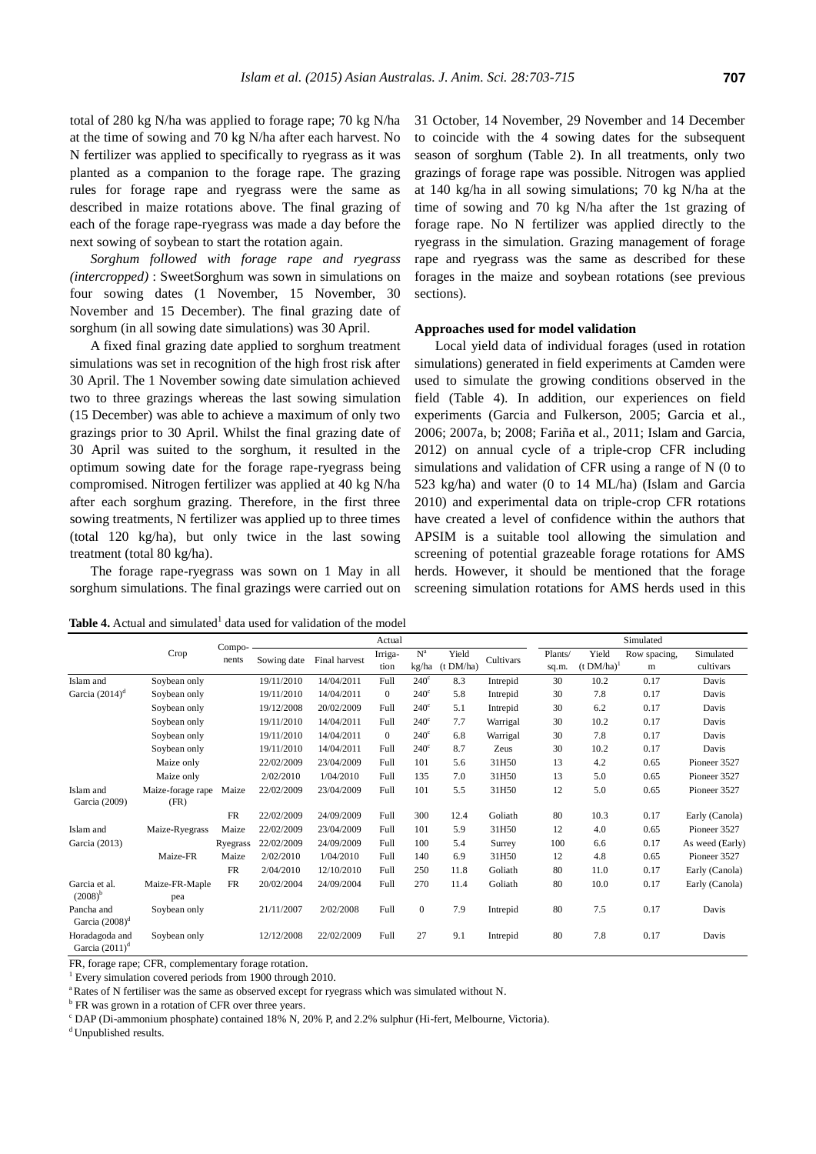total of 280 kg N/ha was applied to forage rape; 70 kg N/ha at the time of sowing and 70 kg N/ha after each harvest. No N fertilizer was applied to specifically to ryegrass as it was planted as a companion to the forage rape. The grazing rules for forage rape and ryegrass were the same as described in maize rotations above. The final grazing of each of the forage rape-ryegrass was made a day before the next sowing of soybean to start the rotation again.

*Sorghum followed with forage rape and ryegrass (intercropped)* : SweetSorghum was sown in simulations on four sowing dates (1 November, 15 November, 30 November and 15 December). The final grazing date of sorghum (in all sowing date simulations) was 30 April.

A fixed final grazing date applied to sorghum treatment simulations was set in recognition of the high frost risk after 30 April. The 1 November sowing date simulation achieved two to three grazings whereas the last sowing simulation (15 December) was able to achieve a maximum of only two grazings prior to 30 April. Whilst the final grazing date of 30 April was suited to the sorghum, it resulted in the optimum sowing date for the forage rape-ryegrass being compromised. Nitrogen fertilizer was applied at 40 kg N/ha after each sorghum grazing. Therefore, in the first three sowing treatments, N fertilizer was applied up to three times (total 120 kg/ha), but only twice in the last sowing treatment (total 80 kg/ha).

The forage rape-ryegrass was sown on 1 May in all sorghum simulations. The final grazings were carried out on

31 October, 14 November, 29 November and 14 December to coincide with the 4 sowing dates for the subsequent season of sorghum (Table 2). In all treatments, only two grazings of forage rape was possible. Nitrogen was applied at 140 kg/ha in all sowing simulations; 70 kg N/ha at the time of sowing and 70 kg N/ha after the 1st grazing of forage rape. No N fertilizer was applied directly to the ryegrass in the simulation. Grazing management of forage rape and ryegrass was the same as described for these forages in the maize and soybean rotations (see previous sections).

#### **Approaches used for model validation**

Local yield data of individual forages (used in rotation simulations) generated in field experiments at Camden were used to simulate the growing conditions observed in the field (Table 4). In addition, our experiences on field experiments (Garcia and Fulkerson, 2005; Garcia et al., 2006; 2007a, b; 2008; Fariña et al., 2011; Islam and Garcia, 2012) on annual cycle of a triple-crop CFR including simulations and validation of CFR using a range of N (0 to 523 kg/ha) and water (0 to 14 ML/ha) (Islam and Garcia 2010) and experimental data on triple-crop CFR rotations have created a level of confidence within the authors that APSIM is a suitable tool allowing the simulation and screening of potential grazeable forage rotations for AMS herds. However, it should be mentioned that the forage screening simulation rotations for AMS herds used in this

**Table 4.** Actual and simulated<sup>1</sup> data used for validation of the model

|                                     |                           |                 |             |               | Actual          |                |                    |           |                  |                        | Simulated         |                        |
|-------------------------------------|---------------------------|-----------------|-------------|---------------|-----------------|----------------|--------------------|-----------|------------------|------------------------|-------------------|------------------------|
|                                     | Crop                      | Compo-<br>nents | Sowing date | Final harvest | Irriga-<br>tion | $N^a$<br>kg/ha | Yield<br>(t DM/ha) | Cultivars | Plants/<br>sq.m. | Yield<br>$(t DM/ha)^1$ | Row spacing,<br>m | Simulated<br>cultivars |
| Islam and                           | Soybean only              |                 | 19/11/2010  | 14/04/2011    | Full            | $240^\circ$    | 8.3                | Intrepid  | 30               | 10.2                   | 0.17              | Davis                  |
| Garcia $(2014)^d$                   | Soybean only              |                 | 19/11/2010  | 14/04/2011    | $\overline{0}$  | $240^\circ$    | 5.8                | Intrepid  | 30               | 7.8                    | 0.17              | Davis                  |
|                                     | Soybean only              |                 | 19/12/2008  | 20/02/2009    | Full            | $240^\circ$    | 5.1                | Intrepid  | 30               | 6.2                    | 0.17              | Davis                  |
|                                     | Soybean only              |                 | 19/11/2010  | 14/04/2011    | Full            | $240^\circ$    | 7.7                | Warrigal  | 30               | 10.2                   | 0.17              | Davis                  |
|                                     | Soybean only              |                 | 19/11/2010  | 14/04/2011    | $\overline{0}$  | $240^\circ$    | 6.8                | Warrigal  | 30               | 7.8                    | 0.17              | Davis                  |
|                                     | Soybean only              |                 | 19/11/2010  | 14/04/2011    | Full            | $240^\circ$    | 8.7                | Zeus      | 30               | 10.2                   | 0.17              | Davis                  |
|                                     | Maize only                |                 | 22/02/2009  | 23/04/2009    | Full            | 101            | 5.6                | 31H50     | 13               | 4.2                    | 0.65              | Pioneer 3527           |
|                                     | Maize only                |                 | 2/02/2010   | 1/04/2010     | Full            | 135            | 7.0                | 31H50     | 13               | 5.0                    | 0.65              | Pioneer 3527           |
| Islam and<br>Garcia (2009)          | Maize-forage rape<br>(FR) | Maize           | 22/02/2009  | 23/04/2009    | Full            | 101            | 5.5                | 31H50     | 12               | 5.0                    | 0.65              | Pioneer 3527           |
|                                     |                           | FR              | 22/02/2009  | 24/09/2009    | Full            | 300            | 12.4               | Goliath   | 80               | 10.3                   | 0.17              | Early (Canola)         |
| Islam and                           | Maize-Ryegrass            | Maize           | 22/02/2009  | 23/04/2009    | Full            | 101            | 5.9                | 31H50     | 12               | 4.0                    | 0.65              | Pioneer 3527           |
| Garcia (2013)                       |                           | Ryegrass        | 22/02/2009  | 24/09/2009    | Full            | 100            | 5.4                | Surrey    | 100              | 6.6                    | 0.17              | As weed (Early)        |
|                                     | Maize-FR                  | Maize           | 2/02/2010   | 1/04/2010     | Full            | 140            | 6.9                | 31H50     | 12               | 4.8                    | 0.65              | Pioneer 3527           |
|                                     |                           | <b>FR</b>       | 2/04/2010   | 12/10/2010    | Full            | 250            | 11.8               | Goliath   | 80               | 11.0                   | 0.17              | Early (Canola)         |
| Garcia et al.<br>$(2008)^{b}$       | Maize-FR-Maple<br>pea     | <b>FR</b>       | 20/02/2004  | 24/09/2004    | Full            | 270            | 11.4               | Goliath   | 80               | 10.0                   | 0.17              | Early (Canola)         |
| Pancha and<br>Garcia $(2008)^d$     | Soybean only              |                 | 21/11/2007  | 2/02/2008     | Full            | $\mathbf{0}$   | 7.9                | Intrepid  | 80               | 7.5                    | 0.17              | Davis                  |
| Horadagoda and<br>Garcia $(2011)^d$ | Soybean only              |                 | 12/12/2008  | 22/02/2009    | Full            | 27             | 9.1                | Intrepid  | 80               | 7.8                    | 0.17              | Davis                  |

FR, forage rape; CFR, complementary forage rotation.

<sup>1</sup> Every simulation covered periods from 1900 through 2010.

<sup>a</sup>Rates of N fertiliser was the same as observed except for ryegrass which was simulated without N.

<sup>b</sup> FR was grown in a rotation of CFR over three years.

<sup>c</sup> DAP (Di-ammonium phosphate) contained 18% N, 20% P, and 2.2% sulphur (Hi-fert, Melbourne, Victoria).

<sup>d</sup> Unpublished results.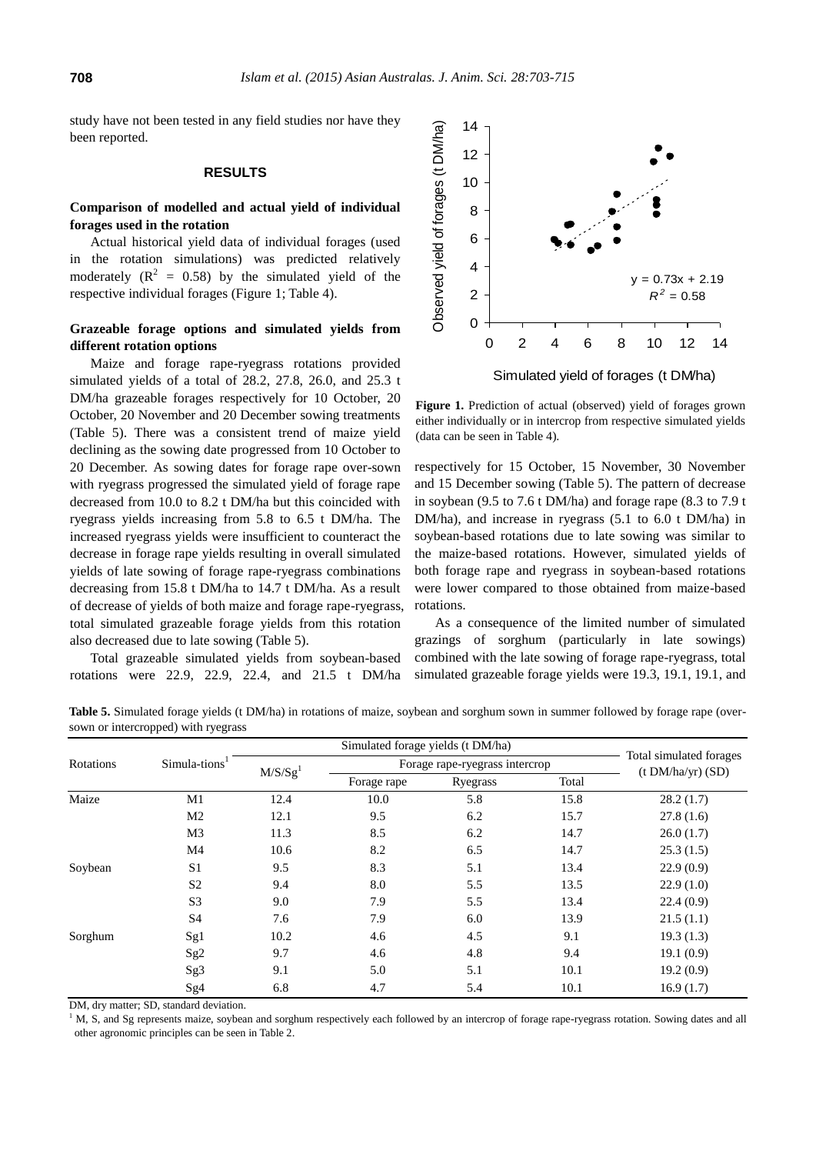study have not been tested in any field studies nor have they been reported.

## **RESULTS**

# **Comparison of modelled and actual yield of individual forages used in the rotation**

Actual historical yield data of individual forages (used in the rotation simulations) was predicted relatively moderately  $(R^2 = 0.58)$  by the simulated yield of the respective individual forages (Figure 1; Table 4).

# **Grazeable forage options and simulated yields from different rotation options**

Maize and forage rape-ryegrass rotations provided simulated yields of a total of 28.2, 27.8, 26.0, and 25.3 t DM/ha grazeable forages respectively for 10 October, 20 October, 20 November and 20 December sowing treatments (Table 5). There was a consistent trend of maize yield declining as the sowing date progressed from 10 October to 20 December. As sowing dates for forage rape over-sown with ryegrass progressed the simulated yield of forage rape decreased from 10.0 to 8.2 t DM/ha but this coincided with ryegrass yields increasing from 5.8 to 6.5 t DM/ha. The increased ryegrass yields were insufficient to counteract the decrease in forage rape yields resulting in overall simulated yields of late sowing of forage rape-ryegrass combinations decreasing from 15.8 t DM/ha to 14.7 t DM/ha. As a result of decrease of yields of both maize and forage rape-ryegrass, total simulated grazeable forage yields from this rotation also decreased due to late sowing (Table 5).

Total grazeable simulated yields from soybean-based rotations were 22.9, 22.9, 22.4, and 21.5 t DM/ha



**Figure 1.** Prediction of actual (observed) yield of forages grown either individually or in intercrop from respective simulated yields (data can be seen in Table 4).

respectively for 15 October, 15 November, 30 November and 15 December sowing (Table 5). The pattern of decrease in soybean (9.5 to 7.6 t DM/ha) and forage rape (8.3 to 7.9 t DM/ha), and increase in ryegrass (5.1 to 6.0 t DM/ha) in soybean-based rotations due to late sowing was similar to the maize-based rotations. However, simulated yields of both forage rape and ryegrass in soybean-based rotations were lower compared to those obtained from maize-based rotations.

As a consequence of the limited number of simulated grazings of sorghum (particularly in late sowings) combined with the late sowing of forage rape-ryegrass, total simulated grazeable forage yields were 19.3, 19.1, 19.1, and

**Table 5.** Simulated forage yields (t DM/ha) in rotations of maize, soybean and sorghum sown in summer followed by forage rape (oversown or intercropped) with ryegrass

|           |                 |                     | Simulated forage yields (t DM/ha) |                                |       |                                              |  |
|-----------|-----------------|---------------------|-----------------------------------|--------------------------------|-------|----------------------------------------------|--|
| Rotations | $Simula-tions1$ |                     |                                   | Forage rape-ryegrass intercrop |       | Total simulated forages<br>(t DM/ha/yr) (SD) |  |
|           |                 | M/S/Sg <sup>1</sup> | Forage rape                       | Ryegrass                       | Total |                                              |  |
| Maize     | M1              | 12.4                | 10.0                              | 5.8                            | 15.8  | 28.2(1.7)                                    |  |
|           | M <sub>2</sub>  | 12.1                | 9.5                               | 6.2                            | 15.7  | 27.8(1.6)                                    |  |
|           | M <sub>3</sub>  | 11.3                | 8.5                               | 6.2                            | 14.7  | 26.0(1.7)                                    |  |
|           | M4              | 10.6                | 8.2                               | 6.5                            | 14.7  | 25.3(1.5)                                    |  |
| Soybean   | S <sub>1</sub>  | 9.5                 | 8.3                               | 5.1                            | 13.4  | 22.9(0.9)                                    |  |
|           | S <sub>2</sub>  | 9.4                 | 8.0                               | 5.5                            | 13.5  | 22.9(1.0)                                    |  |
|           | S <sub>3</sub>  | 9.0                 | 7.9                               | 5.5                            | 13.4  | 22.4(0.9)                                    |  |
|           | S4              | 7.6                 | 7.9                               | 6.0                            | 13.9  | 21.5(1.1)                                    |  |
| Sorghum   | Sg1             | 10.2                | 4.6                               | 4.5                            | 9.1   | 19.3(1.3)                                    |  |
|           | Sg <sub>2</sub> | 9.7                 | 4.6                               | 4.8                            | 9.4   | 19.1(0.9)                                    |  |
|           | Sg <sub>3</sub> | 9.1                 | 5.0                               | 5.1                            | 10.1  | 19.2(0.9)                                    |  |
|           | Sg4             | 6.8                 | 4.7                               | 5.4                            | 10.1  | 16.9(1.7)                                    |  |

DM, dry matter; SD, standard deviation.

 $1$  M, S, and Sg represents maize, soybean and sorghum respectively each followed by an intercrop of forage rape-ryegrass rotation. Sowing dates and all other agronomic principles can be seen in Table 2.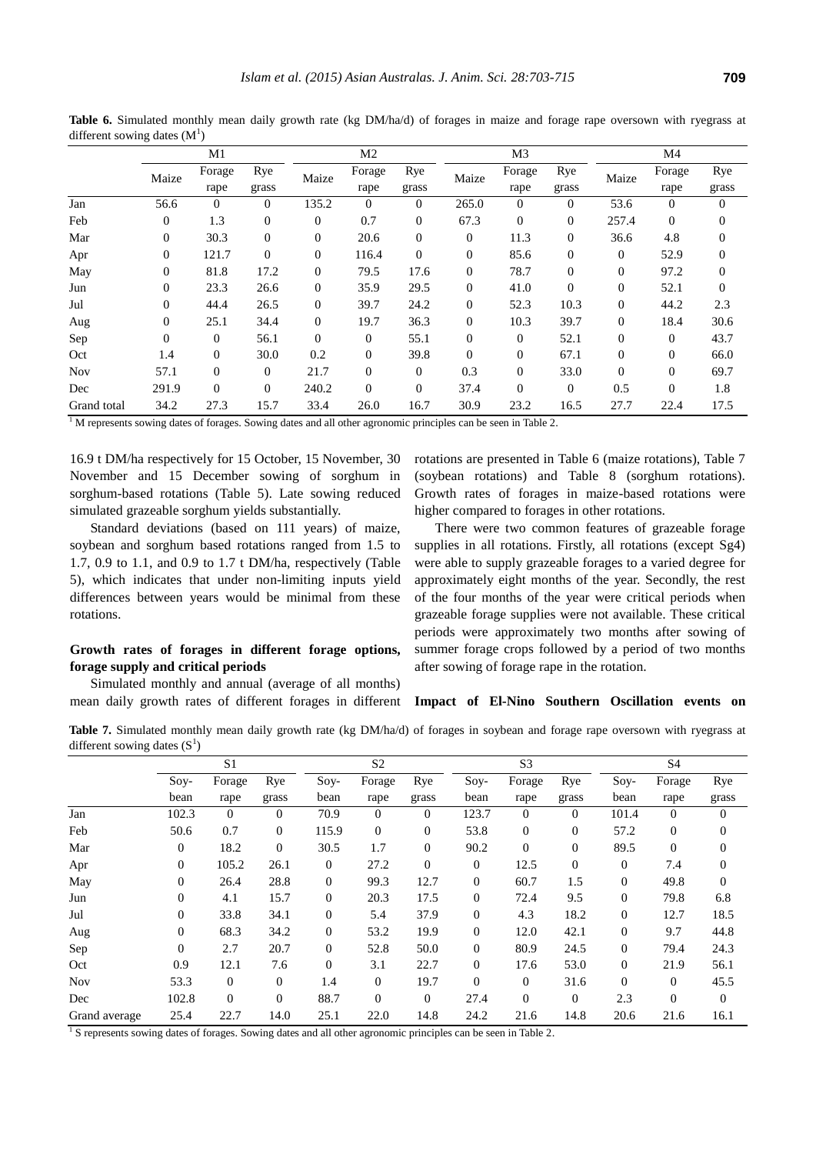|             |                | M1               |                |          | M <sub>2</sub> |                  |                | M <sub>3</sub> |                |                | M4               |                |
|-------------|----------------|------------------|----------------|----------|----------------|------------------|----------------|----------------|----------------|----------------|------------------|----------------|
|             | Maize          | Forage<br>rape   | Rye<br>grass   | Maize    | Forage<br>rape | Rye<br>grass     | Maize          | Forage<br>rape | Rye<br>grass   | Maize          | Forage<br>rape   | Rye<br>grass   |
| Jan         | 56.6           | $\mathbf{0}$     | $\theta$       | 135.2    | $\theta$       | $\theta$         | 265.0          | $\overline{0}$ | $\mathbf{0}$   | 53.6           | $\boldsymbol{0}$ | $\overline{0}$ |
| Feb         | $\overline{0}$ | 1.3              | $\mathbf{0}$   | $\theta$ | 0.7            | $\boldsymbol{0}$ | 67.3           | $\mathbf{0}$   | $\overline{0}$ | 257.4          | $\boldsymbol{0}$ | 0              |
| Mar         | $\overline{0}$ | 30.3             | $\mathbf{0}$   | $\theta$ | 20.6           | $\boldsymbol{0}$ | $\mathbf{0}$   | 11.3           | $\mathbf{0}$   | 36.6           | 4.8              | $\mathbf{0}$   |
| Apr         | $\mathbf{0}$   | 121.7            | $\Omega$       | $\theta$ | 116.4          | $\mathbf{0}$     | $\overline{0}$ | 85.6           | $\mathbf{0}$   | $\overline{0}$ | 52.9             | $\overline{0}$ |
| May         | $\overline{0}$ | 81.8             | 17.2           | $\theta$ | 79.5           | 17.6             | 0              | 78.7           | $\overline{0}$ | $\theta$       | 97.2             | $\mathbf{0}$   |
| Jun         | $\theta$       | 23.3             | 26.6           | $\theta$ | 35.9           | 29.5             | $\overline{0}$ | 41.0           | $\Omega$       | $\theta$       | 52.1             | $\Omega$       |
| Jul         | $\theta$       | 44.4             | 26.5           | $\theta$ | 39.7           | 24.2             | 0              | 52.3           | 10.3           | $\mathbf{0}$   | 44.2             | 2.3            |
| Aug         | $\overline{0}$ | 25.1             | 34.4           | $\theta$ | 19.7           | 36.3             | 0              | 10.3           | 39.7           | $\theta$       | 18.4             | 30.6           |
| Sep         | $\overline{0}$ | $\mathbf{0}$     | 56.1           | $\Omega$ | $\overline{0}$ | 55.1             | $\overline{0}$ | $\mathbf{0}$   | 52.1           | $\Omega$       | $\mathbf{0}$     | 43.7           |
| Oct         | 1.4            | $\boldsymbol{0}$ | 30.0           | 0.2      | $\Omega$       | 39.8             | $\overline{0}$ | $\mathbf{0}$   | 67.1           | $\theta$       | $\mathbf{0}$     | 66.0           |
| <b>Nov</b>  | 57.1           | $\boldsymbol{0}$ | $\overline{0}$ | 21.7     | $\mathbf{0}$   | $\mathbf{0}$     | 0.3            | $\mathbf{0}$   | 33.0           | $\Omega$       | $\mathbf{0}$     | 69.7           |
| Dec         | 291.9          | $\Omega$         | $\Omega$       | 240.2    | $\Omega$       | $\Omega$         | 37.4           | $\Omega$       | $\mathbf{0}$   | 0.5            | $\Omega$         | 1.8            |
| Grand total | 34.2           | 27.3             | 15.7           | 33.4     | 26.0           | 16.7             | 30.9           | 23.2           | 16.5           | 27.7           | 22.4             | 17.5           |

Table 6. Simulated monthly mean daily growth rate (kg DM/ha/d) of forages in maize and forage rape oversown with ryegrass at different sowing dates  $(M<sup>1</sup>)$ 

<sup>1</sup>M represents sowing dates of forages. Sowing dates and all other agronomic principles can be seen in Table 2.

16.9 t DM/ha respectively for 15 October, 15 November, 30 November and 15 December sowing of sorghum in sorghum-based rotations (Table 5). Late sowing reduced simulated grazeable sorghum yields substantially.

Standard deviations (based on 111 years) of maize, soybean and sorghum based rotations ranged from 1.5 to 1.7, 0.9 to 1.1, and 0.9 to 1.7 t DM/ha, respectively (Table 5), which indicates that under non-limiting inputs yield differences between years would be minimal from these rotations.

# **Growth rates of forages in different forage options, forage supply and critical periods**

Simulated monthly and annual (average of all months) mean daily growth rates of different forages in different rotations are presented in Table 6 (maize rotations), Table 7 (soybean rotations) and Table 8 (sorghum rotations). Growth rates of forages in maize-based rotations were higher compared to forages in other rotations.

There were two common features of grazeable forage supplies in all rotations. Firstly, all rotations (except Sg4) were able to supply grazeable forages to a varied degree for approximately eight months of the year. Secondly, the rest of the four months of the year were critical periods when grazeable forage supplies were not available. These critical periods were approximately two months after sowing of summer forage crops followed by a period of two months after sowing of forage rape in the rotation.

# **Impact of El-Nino Southern Oscillation events on**

**Table 7.** Simulated monthly mean daily growth rate (kg DM/ha/d) of forages in soybean and forage rape oversown with ryegrass at different sowing dates  $(S^1)$ 

| $\circ$       |                  | S <sub>1</sub> |                |                | S <sub>2</sub> |                |                  | S <sub>3</sub> |                  |                | S <sub>4</sub> |              |
|---------------|------------------|----------------|----------------|----------------|----------------|----------------|------------------|----------------|------------------|----------------|----------------|--------------|
|               | $Sov-$<br>bean   | Forage<br>rape | Rye<br>grass   | $Sov-$<br>bean | Forage<br>rape | Rye<br>grass   | $Sov-$<br>bean   | Forage<br>rape | Rye<br>grass     | $Sov-$<br>bean | Forage<br>rape | Rye<br>grass |
| Jan           | 102.3            | $\overline{0}$ | $\Omega$       | 70.9           | $\mathbf{0}$   | $\theta$       | 123.7            | $\overline{0}$ | $\overline{0}$   | 101.4          | $\Omega$       | $\theta$     |
| Feb           | 50.6             | 0.7            | $\overline{0}$ | 115.9          | $\mathbf{0}$   | $\mathbf{0}$   | 53.8             | $\theta$       | $\boldsymbol{0}$ | 57.2           | $\overline{0}$ | $\theta$     |
| Mar           | $\overline{0}$   | 18.2           | $\Omega$       | 30.5           | 1.7            | $\mathbf{0}$   | 90.2             | $\overline{0}$ | $\overline{0}$   | 89.5           | $\Omega$       | $\Omega$     |
| Apr           | $\boldsymbol{0}$ | 105.2          | 26.1           | $\overline{0}$ | 27.2           | $\overline{0}$ | $\boldsymbol{0}$ | 12.5           | $\overline{0}$   | $\theta$       | 7.4            | $\theta$     |
| May           | $\boldsymbol{0}$ | 26.4           | 28.8           | $\theta$       | 99.3           | 12.7           | $\overline{0}$   | 60.7           | 1.5              | $\theta$       | 49.8           | $\theta$     |
| Jun           | $\overline{0}$   | 4.1            | 15.7           | $\theta$       | 20.3           | 17.5           | $\boldsymbol{0}$ | 72.4           | 9.5              | $\theta$       | 79.8           | 6.8          |
| Jul           | $\overline{0}$   | 33.8           | 34.1           | $\theta$       | 5.4            | 37.9           | $\overline{0}$   | 4.3            | 18.2             | $\theta$       | 12.7           | 18.5         |
| Aug           | $\boldsymbol{0}$ | 68.3           | 34.2           | $\theta$       | 53.2           | 19.9           | $\boldsymbol{0}$ | 12.0           | 42.1             | $\overline{0}$ | 9.7            | 44.8         |
| Sep           | $\overline{0}$   | 2.7            | 20.7           | $\theta$       | 52.8           | 50.0           | $\overline{0}$   | 80.9           | 24.5             | $\theta$       | 79.4           | 24.3         |
| Oct           | 0.9              | 12.1           | 7.6            | $\Omega$       | 3.1            | 22.7           | $\Omega$         | 17.6           | 53.0             | $\theta$       | 21.9           | 56.1         |
| <b>Nov</b>    | 53.3             | $\overline{0}$ | $\theta$       | 1.4            | $\mathbf{0}$   | 19.7           | $\theta$         | $\mathbf{0}$   | 31.6             | $\Omega$       | $\theta$       | 45.5         |
| Dec           | 102.8            | $\Omega$       | $\Omega$       | 88.7           | $\mathbf{0}$   | $\mathbf{0}$   | 27.4             | $\theta$       | $\overline{0}$   | 2.3            | $\Omega$       | $\mathbf{0}$ |
| Grand average | 25.4             | 22.7           | 14.0           | 25.1           | 22.0           | 14.8           | 24.2             | 21.6           | 14.8             | 20.6           | 21.6           | 16.1         |

<sup>1</sup> S represents sowing dates of forages. Sowing dates and all other agronomic principles can be seen in Table 2.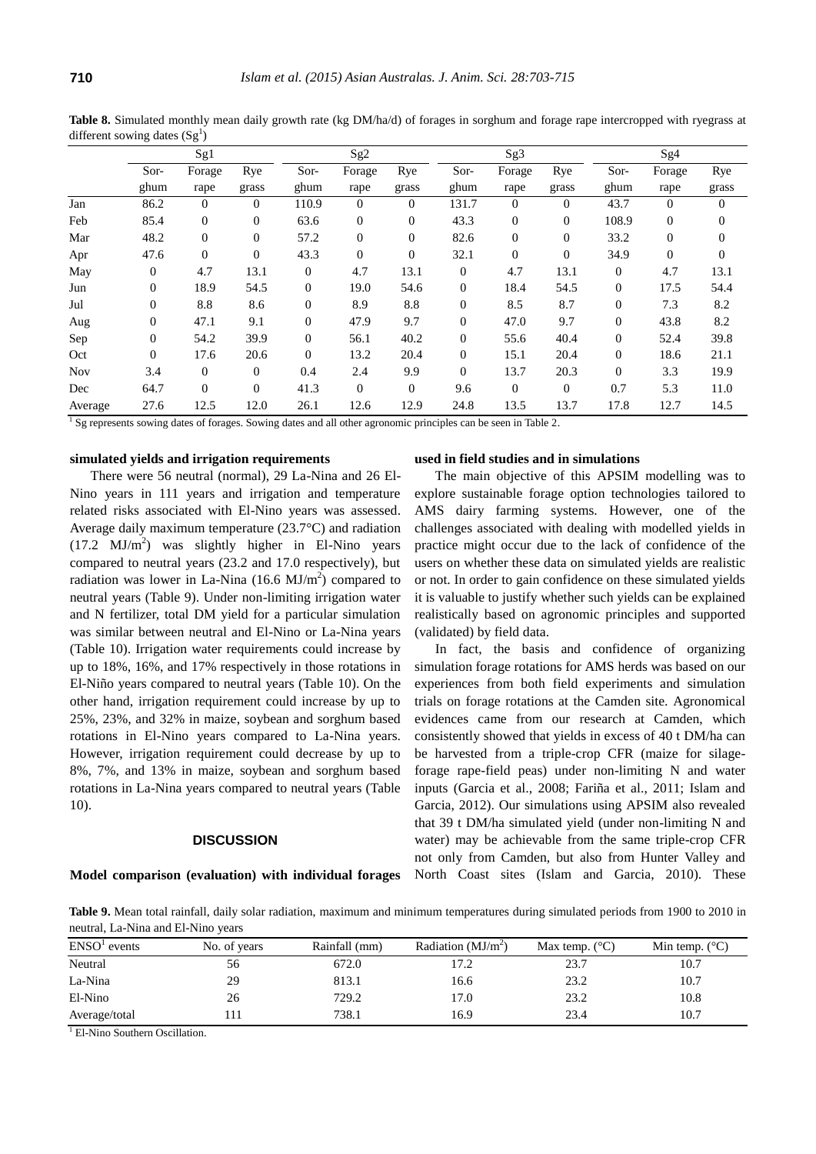|            |                | Sg1            |              |                  | Sg <sub>2</sub>  |                |                | Sg3          |                |                  | Sg <sub>4</sub>  |              |
|------------|----------------|----------------|--------------|------------------|------------------|----------------|----------------|--------------|----------------|------------------|------------------|--------------|
|            | Sor-           | Forage         | Rye          | Sor-             | Forage           | Rye            | Sor-           | Forage       | Rye            | Sor-             | Forage           | Rye          |
|            | ghum           | rape           | grass        | ghum             | rape             | grass          | ghum           | rape         | grass          | ghum             | rape             | grass        |
| Jan        | 86.2           | $\Omega$       | $\theta$     | 110.9            | $\mathbf{0}$     | $\theta$       | 131.7          | $\Omega$     | $\Omega$       | 43.7             | $\Omega$         | $\mathbf{0}$ |
| Feb        | 85.4           | $\mathbf{0}$   | $\mathbf{0}$ | 63.6             | $\mathbf{0}$     | $\mathbf{0}$   | 43.3           | $\mathbf{0}$ | $\overline{0}$ | 108.9            | $\boldsymbol{0}$ | $\mathbf{0}$ |
| Mar        | 48.2           | $\overline{0}$ | $\mathbf{0}$ | 57.2             | $\boldsymbol{0}$ | $\mathbf{0}$   | 82.6           | $\mathbf{0}$ | $\overline{0}$ | 33.2             | $\mathbf{0}$     | 0            |
| Apr        | 47.6           | $\overline{0}$ | $\Omega$     | 43.3             | $\theta$         | $\theta$       | 32.1           | $\Omega$     | $\Omega$       | 34.9             | $\mathbf{0}$     | $\Omega$     |
| May        | $\overline{0}$ | 4.7            | 13.1         | $\boldsymbol{0}$ | 4.7              | 13.1           | $\overline{0}$ | 4.7          | 13.1           | $\boldsymbol{0}$ | 4.7              | 13.1         |
| Jun        | $\mathbf{0}$   | 18.9           | 54.5         | $\boldsymbol{0}$ | 19.0             | 54.6           | $\theta$       | 18.4         | 54.5           | $\overline{0}$   | 17.5             | 54.4         |
| Jul        | $\Omega$       | 8.8            | 8.6          | $\theta$         | 8.9              | 8.8            | $\Omega$       | 8.5          | 8.7            | $\mathbf{0}$     | 7.3              | 8.2          |
| Aug        | $\theta$       | 47.1           | 9.1          | $\boldsymbol{0}$ | 47.9             | 9.7            | $\theta$       | 47.0         | 9.7            | $\mathbf{0}$     | 43.8             | 8.2          |
| Sep        | $\overline{0}$ | 54.2           | 39.9         | $\mathbf{0}$     | 56.1             | 40.2           | $\theta$       | 55.6         | 40.4           | $\overline{0}$   | 52.4             | 39.8         |
| Oct        | $\Omega$       | 17.6           | 20.6         | $\mathbf{0}$     | 13.2             | 20.4           | $\Omega$       | 15.1         | 20.4           | $\mathbf{0}$     | 18.6             | 21.1         |
| <b>Nov</b> | 3.4            | $\mathbf{0}$   | $\mathbf{0}$ | 0.4              | 2.4              | 9.9            | $\theta$       | 13.7         | 20.3           | $\mathbf{0}$     | 3.3              | 19.9         |
| Dec        | 64.7           | $\Omega$       | $\Omega$     | 41.3             | $\boldsymbol{0}$ | $\overline{0}$ | 9.6            | $\mathbf{0}$ | $\Omega$       | 0.7              | 5.3              | 11.0         |
| Average    | 27.6           | 12.5           | 12.0         | 26.1             | 12.6             | 12.9           | 24.8           | 13.5         | 13.7           | 17.8             | 12.7             | 14.5         |

**Table 8.** Simulated monthly mean daily growth rate (kg DM/ha/d) of forages in sorghum and forage rape intercropped with ryegrass at different sowing dates  $(Sg<sup>1</sup>)$ 

<sup>1</sup> Sg represents sowing dates of forages. Sowing dates and all other agronomic principles can be seen in Table 2.

#### **simulated yields and irrigation requirements**

There were 56 neutral (normal), 29 La-Nina and 26 El-Nino years in 111 years and irrigation and temperature related risks associated with El-Nino years was assessed. Average daily maximum temperature (23.7°C) and radiation  $(17.2 \text{ MJ/m}^2)$  was slightly higher in El-Nino years compared to neutral years (23.2 and 17.0 respectively), but radiation was lower in La-Nina  $(16.6 \text{ MJ/m}^2)$  compared to neutral years (Table 9). Under non-limiting irrigation water and N fertilizer, total DM yield for a particular simulation was similar between neutral and El-Nino or La-Nina years (Table 10). Irrigation water requirements could increase by up to 18%, 16%, and 17% respectively in those rotations in El-Niño years compared to neutral years (Table 10). On the other hand, irrigation requirement could increase by up to 25%, 23%, and 32% in maize, soybean and sorghum based rotations in El-Nino years compared to La-Nina years. However, irrigation requirement could decrease by up to 8%, 7%, and 13% in maize, soybean and sorghum based rotations in La-Nina years compared to neutral years (Table 10).

# **DISCUSSION**

**Model comparison (evaluation) with individual forages** 

#### **used in field studies and in simulations**

The main objective of this APSIM modelling was to explore sustainable forage option technologies tailored to AMS dairy farming systems. However, one of the challenges associated with dealing with modelled yields in practice might occur due to the lack of confidence of the users on whether these data on simulated yields are realistic or not. In order to gain confidence on these simulated yields it is valuable to justify whether such yields can be explained realistically based on agronomic principles and supported (validated) by field data.

In fact, the basis and confidence of organizing simulation forage rotations for AMS herds was based on our experiences from both field experiments and simulation trials on forage rotations at the Camden site. Agronomical evidences came from our research at Camden, which consistently showed that yields in excess of 40 t DM/ha can be harvested from a triple-crop CFR (maize for silageforage rape-field peas) under non-limiting N and water inputs (Garcia et al., 2008; Fariña et al., 2011; Islam and Garcia, 2012). Our simulations using APSIM also revealed that 39 t DM/ha simulated yield (under non-limiting N and water) may be achievable from the same triple-crop CFR not only from Camden, but also from Hunter Valley and North Coast sites (Islam and Garcia, 2010). These

**Table 9.** Mean total rainfall, daily solar radiation, maximum and minimum temperatures during simulated periods from 1900 to 2010 in neutral, La-Nina and El-Nino years

| $ENSO1$ events | No. of years | Rainfall (mm) | Radiation $(MJ/m2)$ | Max temp. $(^{\circ}C)$ | Min temp. $(^{\circ}C)$ |
|----------------|--------------|---------------|---------------------|-------------------------|-------------------------|
| Neutral        | 56           | 672.0         | .7.2                | 23.7                    | 10.7                    |
| La-Nina        | 29           | 813.1         | 16.6                | 23.2                    | 10.7                    |
| El-Nino        | 26           | 729.2         | 17.0                | 23.2                    | 10.8                    |
| Average/total  | .11          | 738.1         | 16.9                | 23.4                    | 10.7                    |

 $\frac{1}{1}$  El-Nino Southern Oscillation.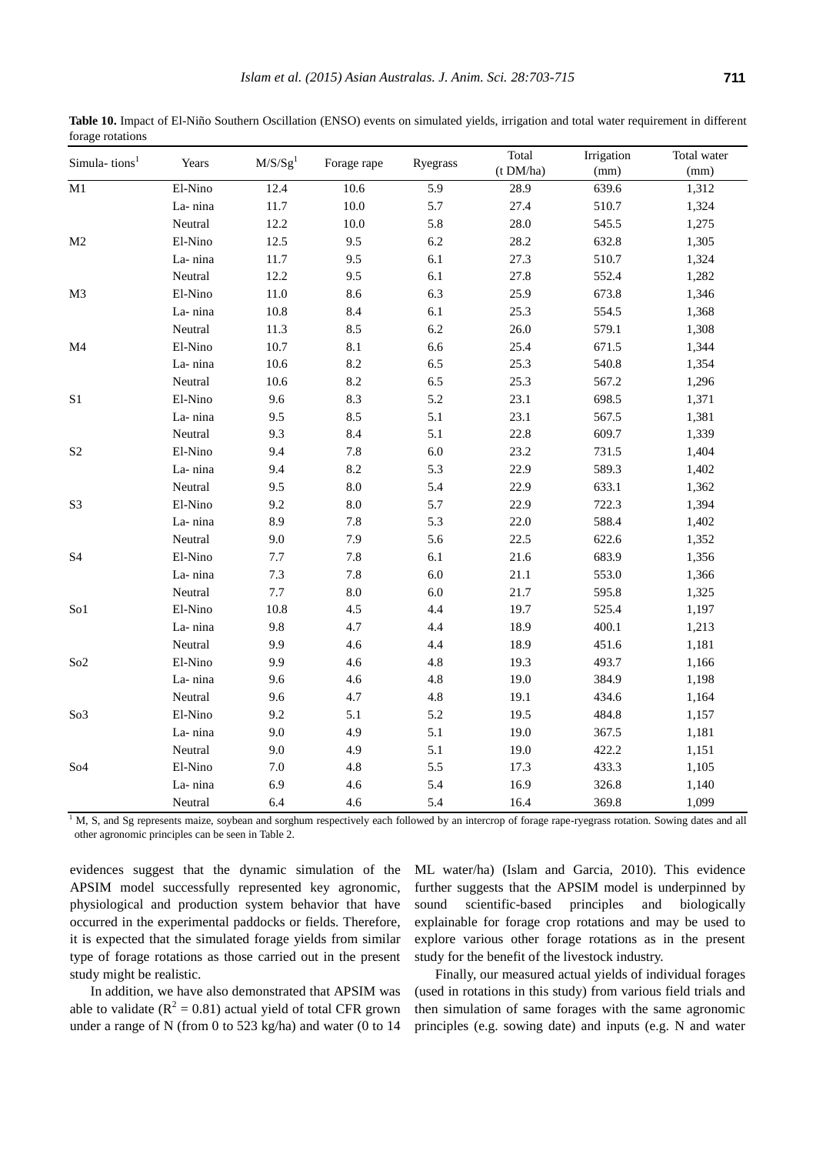|                           |         |                     |             |          | Total     | Irrigation | Total water |
|---------------------------|---------|---------------------|-------------|----------|-----------|------------|-------------|
| Simula-tions <sup>1</sup> | Years   | M/S/Sg <sup>1</sup> | Forage rape | Ryegrass | (t DM/ha) | (mm)       | (mm)        |
| M1                        | El-Nino | 12.4                | 10.6        | 5.9      | 28.9      | 639.6      | 1,312       |
|                           | La-nina | 11.7                | $10.0\,$    | 5.7      | 27.4      | 510.7      | 1,324       |
|                           | Neutral | 12.2                | $10.0\,$    | 5.8      | 28.0      | 545.5      | 1,275       |
| $\mathbf{M}2$             | El-Nino | 12.5                | 9.5         | $6.2\,$  | 28.2      | 632.8      | 1,305       |
|                           | La-nina | 11.7                | 9.5         | 6.1      | 27.3      | 510.7      | 1,324       |
|                           | Neutral | 12.2                | 9.5         | 6.1      | 27.8      | 552.4      | 1,282       |
| M <sub>3</sub>            | El-Nino | $11.0\,$            | 8.6         | 6.3      | 25.9      | 673.8      | 1,346       |
|                           | La-nina | 10.8                | 8.4         | 6.1      | 25.3      | 554.5      | 1,368       |
|                           | Neutral | 11.3                | 8.5         | 6.2      | 26.0      | 579.1      | 1,308       |
| M <sub>4</sub>            | El-Nino | $10.7\,$            | $8.1\,$     | 6.6      | 25.4      | 671.5      | 1,344       |
|                           | La-nina | $10.6\,$            | 8.2         | 6.5      | 25.3      | 540.8      | 1,354       |
|                           | Neutral | 10.6                | 8.2         | 6.5      | 25.3      | 567.2      | 1,296       |
| S <sub>1</sub>            | El-Nino | 9.6                 | 8.3         | 5.2      | 23.1      | 698.5      | 1,371       |
|                           | La-nina | 9.5                 | 8.5         | 5.1      | 23.1      | 567.5      | 1,381       |
|                           | Neutral | 9.3                 | 8.4         | 5.1      | 22.8      | 609.7      | 1,339       |
| S <sub>2</sub>            | El-Nino | 9.4                 | 7.8         | $6.0\,$  | 23.2      | 731.5      | 1,404       |
|                           | La-nina | 9.4                 | 8.2         | 5.3      | 22.9      | 589.3      | 1,402       |
|                           | Neutral | 9.5                 | $\ \ 8.0$   | 5.4      | 22.9      | 633.1      | 1,362       |
| S <sub>3</sub>            | El-Nino | 9.2                 | $8.0\,$     | 5.7      | 22.9      | 722.3      | 1,394       |
|                           | La-nina | 8.9                 | 7.8         | 5.3      | 22.0      | 588.4      | 1,402       |
|                           | Neutral | 9.0                 | 7.9         | 5.6      | 22.5      | 622.6      | 1,352       |
| S <sub>4</sub>            | El-Nino | $7.7\,$             | 7.8         | 6.1      | 21.6      | 683.9      | 1,356       |
|                           | La-nina | $7.3\,$             | 7.8         | 6.0      | 21.1      | 553.0      | 1,366       |
|                           | Neutral | $7.7\,$             | $\ \ 8.0$   | $6.0\,$  | 21.7      | 595.8      | 1,325       |
| So1                       | El-Nino | 10.8                | 4.5         | 4.4      | 19.7      | 525.4      | 1,197       |
|                           | La-nina | 9.8                 | 4.7         | 4.4      | 18.9      | 400.1      | 1,213       |
|                           | Neutral | 9.9                 | 4.6         | 4.4      | 18.9      | 451.6      | 1,181       |
| So <sub>2</sub>           | El-Nino | 9.9                 | 4.6         | 4.8      | 19.3      | 493.7      | 1,166       |
|                           | La-nina | 9.6                 | $4.6\,$     | 4.8      | 19.0      | 384.9      | 1,198       |
|                           | Neutral | 9.6                 | 4.7         | 4.8      | 19.1      | 434.6      | 1,164       |
| So <sub>3</sub>           | El-Nino | 9.2                 | 5.1         | $5.2\,$  | 19.5      | 484.8      | 1,157       |
|                           | La-nina | 9.0                 | 4.9         | 5.1      | 19.0      | 367.5      | 1,181       |
|                           | Neutral | 9.0                 | 4.9         | 5.1      | 19.0      | 422.2      | 1,151       |
| So <sub>4</sub>           | El-Nino | $7.0\,$             | 4.8         | 5.5      | 17.3      | 433.3      | 1,105       |
|                           | La-nina | 6.9                 | 4.6         | 5.4      | 16.9      | 326.8      | 1,140       |
|                           | Neutral | 6.4                 | 4.6         | 5.4      | 16.4      | 369.8      | 1,099       |

**Table 10.** Impact of El-Niño Southern Oscillation (ENSO) events on simulated yields, irrigation and total water requirement in different forage rotations

<sup>1</sup> M, S, and Sg represents maize, soybean and sorghum respectively each followed by an intercrop of forage rape-ryegrass rotation. Sowing dates and all other agronomic principles can be seen in Table 2.

evidences suggest that the dynamic simulation of the APSIM model successfully represented key agronomic, physiological and production system behavior that have occurred in the experimental paddocks or fields. Therefore, it is expected that the simulated forage yields from similar type of forage rotations as those carried out in the present study might be realistic.

In addition, we have also demonstrated that APSIM was able to validate ( $R^2 = 0.81$ ) actual yield of total CFR grown under a range of N (from 0 to 523 kg/ha) and water (0 to 14

ML water/ha) (Islam and Garcia, 2010). This evidence further suggests that the APSIM model is underpinned by sound scientific-based principles and biologically explainable for forage crop rotations and may be used to explore various other forage rotations as in the present study for the benefit of the livestock industry.

Finally, our measured actual yields of individual forages (used in rotations in this study) from various field trials and then simulation of same forages with the same agronomic principles (e.g. sowing date) and inputs (e.g. N and water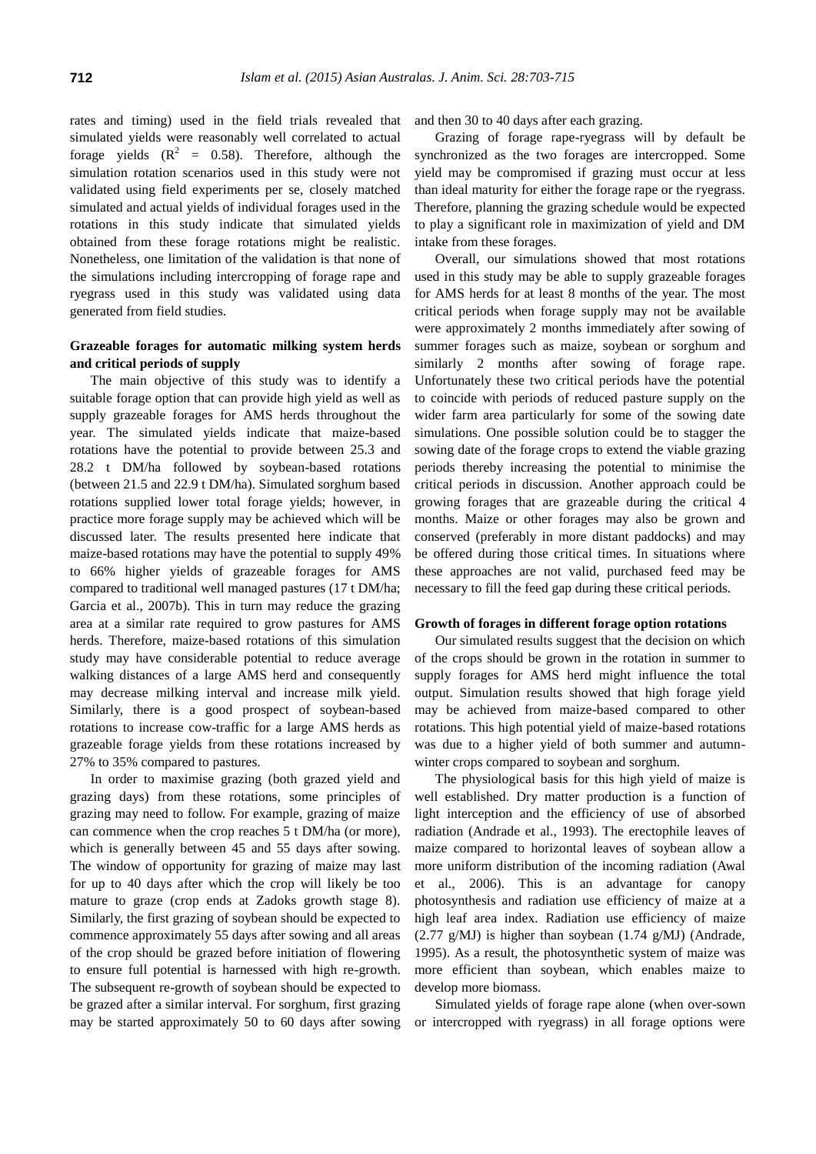rates and timing) used in the field trials revealed that simulated yields were reasonably well correlated to actual forage yields  $(R^2 = 0.58)$ . Therefore, although the simulation rotation scenarios used in this study were not validated using field experiments per se, closely matched simulated and actual yields of individual forages used in the rotations in this study indicate that simulated yields obtained from these forage rotations might be realistic. Nonetheless, one limitation of the validation is that none of the simulations including intercropping of forage rape and ryegrass used in this study was validated using data generated from field studies.

# **Grazeable forages for automatic milking system herds and critical periods of supply**

The main objective of this study was to identify a suitable forage option that can provide high yield as well as supply grazeable forages for AMS herds throughout the year. The simulated yields indicate that maize-based rotations have the potential to provide between 25.3 and 28.2 t DM/ha followed by soybean-based rotations (between 21.5 and 22.9 t DM/ha). Simulated sorghum based rotations supplied lower total forage yields; however, in practice more forage supply may be achieved which will be discussed later. The results presented here indicate that maize-based rotations may have the potential to supply 49% to 66% higher yields of grazeable forages for AMS compared to traditional well managed pastures (17 t DM/ha; Garcia et al., 2007b). This in turn may reduce the grazing area at a similar rate required to grow pastures for AMS herds. Therefore, maize-based rotations of this simulation study may have considerable potential to reduce average walking distances of a large AMS herd and consequently may decrease milking interval and increase milk yield. Similarly, there is a good prospect of soybean-based rotations to increase cow-traffic for a large AMS herds as grazeable forage yields from these rotations increased by 27% to 35% compared to pastures.

In order to maximise grazing (both grazed yield and grazing days) from these rotations, some principles of grazing may need to follow. For example, grazing of maize can commence when the crop reaches 5 t DM/ha (or more), which is generally between 45 and 55 days after sowing. The window of opportunity for grazing of maize may last for up to 40 days after which the crop will likely be too mature to graze (crop ends at Zadoks growth stage 8). Similarly, the first grazing of soybean should be expected to commence approximately 55 days after sowing and all areas of the crop should be grazed before initiation of flowering to ensure full potential is harnessed with high re-growth. The subsequent re-growth of soybean should be expected to be grazed after a similar interval. For sorghum, first grazing may be started approximately 50 to 60 days after sowing and then 30 to 40 days after each grazing.

Grazing of forage rape-ryegrass will by default be synchronized as the two forages are intercropped. Some yield may be compromised if grazing must occur at less than ideal maturity for either the forage rape or the ryegrass. Therefore, planning the grazing schedule would be expected to play a significant role in maximization of yield and DM intake from these forages.

Overall, our simulations showed that most rotations used in this study may be able to supply grazeable forages for AMS herds for at least 8 months of the year. The most critical periods when forage supply may not be available were approximately 2 months immediately after sowing of summer forages such as maize, soybean or sorghum and similarly 2 months after sowing of forage rape. Unfortunately these two critical periods have the potential to coincide with periods of reduced pasture supply on the wider farm area particularly for some of the sowing date simulations. One possible solution could be to stagger the sowing date of the forage crops to extend the viable grazing periods thereby increasing the potential to minimise the critical periods in discussion. Another approach could be growing forages that are grazeable during the critical 4 months. Maize or other forages may also be grown and conserved (preferably in more distant paddocks) and may be offered during those critical times. In situations where these approaches are not valid, purchased feed may be necessary to fill the feed gap during these critical periods.

# **Growth of forages in different forage option rotations**

Our simulated results suggest that the decision on which of the crops should be grown in the rotation in summer to supply forages for AMS herd might influence the total output. Simulation results showed that high forage yield may be achieved from maize-based compared to other rotations. This high potential yield of maize-based rotations was due to a higher yield of both summer and autumnwinter crops compared to soybean and sorghum.

The physiological basis for this high yield of maize is well established. Dry matter production is a function of light interception and the efficiency of use of absorbed radiation (Andrade et al., 1993). The erectophile leaves of maize compared to horizontal leaves of soybean allow a more uniform distribution of the incoming radiation (Awal et al., 2006). This is an advantage for canopy photosynthesis and radiation use efficiency of maize at a high leaf area index. Radiation use efficiency of maize (2.77 g/MJ) is higher than soybean (1.74 g/MJ) (Andrade, 1995). As a result, the photosynthetic system of maize was more efficient than soybean, which enables maize to develop more biomass.

Simulated yields of forage rape alone (when over-sown or intercropped with ryegrass) in all forage options were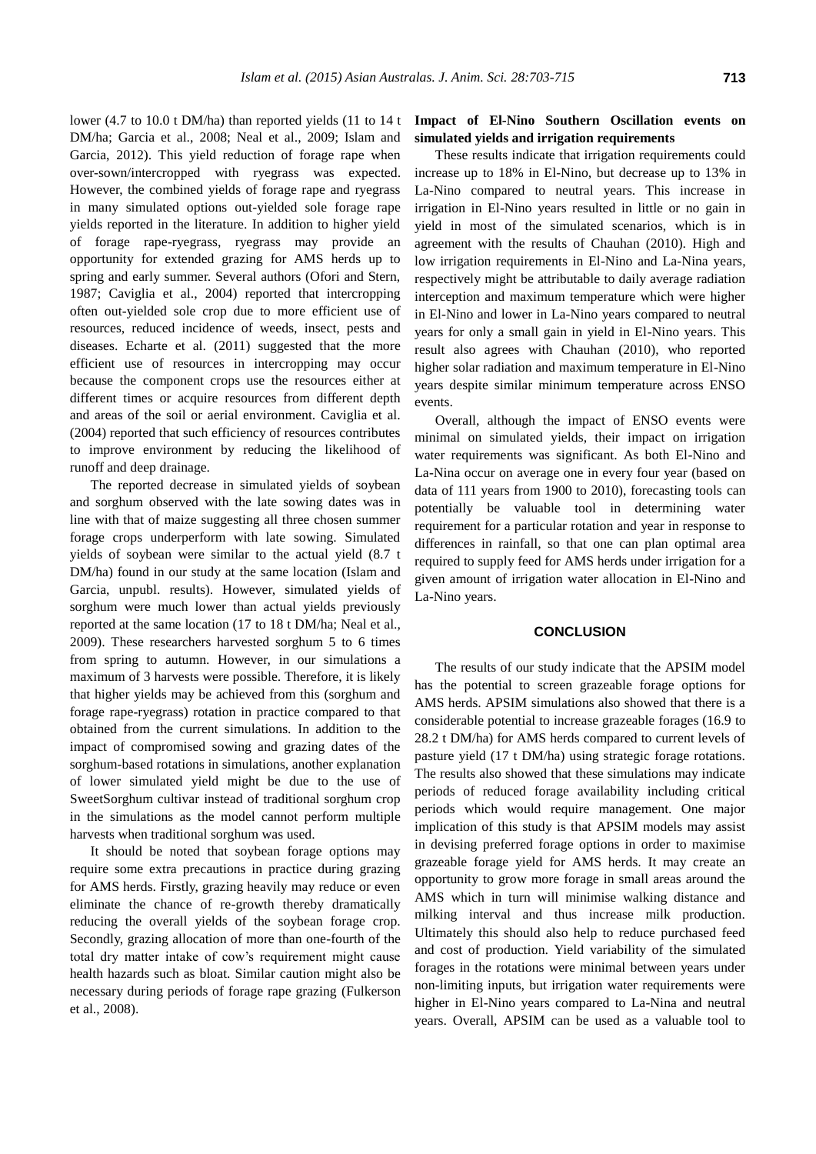lower (4.7 to 10.0 t DM/ha) than reported yields (11 to 14 t DM/ha; Garcia et al., 2008; Neal et al., 2009; Islam and Garcia, 2012). This yield reduction of forage rape when

over-sown/intercropped with ryegrass was expected. However, the combined yields of forage rape and ryegrass in many simulated options out-yielded sole forage rape yields reported in the literature. In addition to higher yield of forage rape-ryegrass, ryegrass may provide an opportunity for extended grazing for AMS herds up to spring and early summer. Several authors (Ofori and Stern, 1987; Caviglia et al., 2004) reported that intercropping often out-yielded sole crop due to more efficient use of resources, reduced incidence of weeds, insect, pests and diseases. Echarte et al. (2011) suggested that the more efficient use of resources in intercropping may occur because the component crops use the resources either at different times or acquire resources from different depth and areas of the soil or aerial environment. Caviglia et al. (2004) reported that such efficiency of resources contributes to improve environment by reducing the likelihood of runoff and deep drainage.

The reported decrease in simulated yields of soybean and sorghum observed with the late sowing dates was in line with that of maize suggesting all three chosen summer forage crops underperform with late sowing. Simulated yields of soybean were similar to the actual yield (8.7 t DM/ha) found in our study at the same location (Islam and Garcia, unpubl. results). However, simulated yields of sorghum were much lower than actual yields previously reported at the same location (17 to 18 t DM/ha; Neal et al., 2009). These researchers harvested sorghum 5 to 6 times from spring to autumn. However, in our simulations a maximum of 3 harvests were possible. Therefore, it is likely that higher yields may be achieved from this (sorghum and forage rape-ryegrass) rotation in practice compared to that obtained from the current simulations. In addition to the impact of compromised sowing and grazing dates of the sorghum-based rotations in simulations, another explanation of lower simulated yield might be due to the use of SweetSorghum cultivar instead of traditional sorghum crop in the simulations as the model cannot perform multiple harvests when traditional sorghum was used.

It should be noted that soybean forage options may require some extra precautions in practice during grazing for AMS herds. Firstly, grazing heavily may reduce or even eliminate the chance of re-growth thereby dramatically reducing the overall yields of the soybean forage crop. Secondly, grazing allocation of more than one-fourth of the total dry matter intake of cow's requirement might cause health hazards such as bloat. Similar caution might also be necessary during periods of forage rape grazing (Fulkerson et al., 2008).

# **Impact of El-Nino Southern Oscillation events on simulated yields and irrigation requirements**

These results indicate that irrigation requirements could increase up to 18% in El-Nino, but decrease up to 13% in La-Nino compared to neutral years. This increase in irrigation in El-Nino years resulted in little or no gain in yield in most of the simulated scenarios, which is in agreement with the results of Chauhan (2010). High and low irrigation requirements in El-Nino and La-Nina years, respectively might be attributable to daily average radiation interception and maximum temperature which were higher in El-Nino and lower in La-Nino years compared to neutral years for only a small gain in yield in El-Nino years. This result also agrees with Chauhan (2010), who reported higher solar radiation and maximum temperature in El-Nino years despite similar minimum temperature across ENSO events.

Overall, although the impact of ENSO events were minimal on simulated yields, their impact on irrigation water requirements was significant. As both El-Nino and La-Nina occur on average one in every four year (based on data of 111 years from 1900 to 2010), forecasting tools can potentially be valuable tool in determining water requirement for a particular rotation and year in response to differences in rainfall, so that one can plan optimal area required to supply feed for AMS herds under irrigation for a given amount of irrigation water allocation in El-Nino and La-Nino years.

## **CONCLUSION**

The results of our study indicate that the APSIM model has the potential to screen grazeable forage options for AMS herds. APSIM simulations also showed that there is a considerable potential to increase grazeable forages (16.9 to 28.2 t DM/ha) for AMS herds compared to current levels of pasture yield (17 t DM/ha) using strategic forage rotations. The results also showed that these simulations may indicate periods of reduced forage availability including critical periods which would require management. One major implication of this study is that APSIM models may assist in devising preferred forage options in order to maximise grazeable forage yield for AMS herds. It may create an opportunity to grow more forage in small areas around the AMS which in turn will minimise walking distance and milking interval and thus increase milk production. Ultimately this should also help to reduce purchased feed and cost of production. Yield variability of the simulated forages in the rotations were minimal between years under non-limiting inputs, but irrigation water requirements were higher in El-Nino years compared to La-Nina and neutral years. Overall, APSIM can be used as a valuable tool to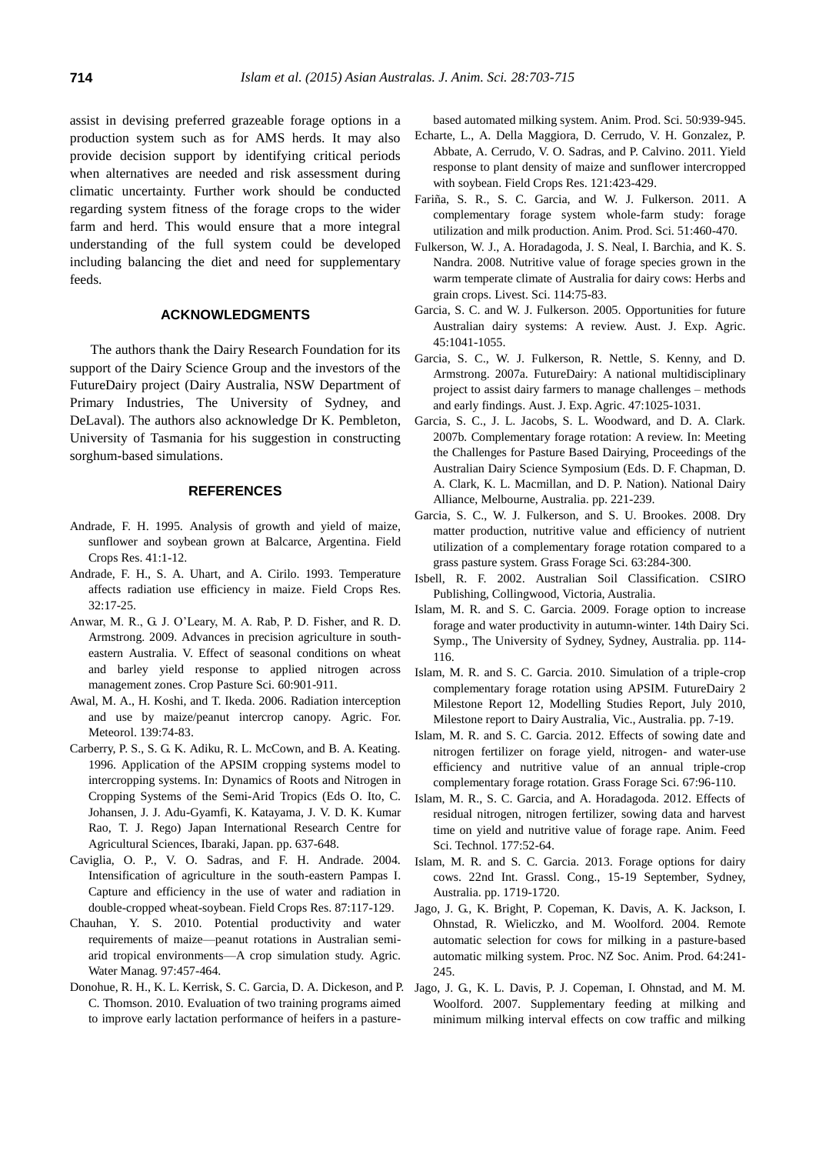assist in devising preferred grazeable forage options in a production system such as for AMS herds. It may also provide decision support by identifying critical periods when alternatives are needed and risk assessment during climatic uncertainty. Further work should be conducted regarding system fitness of the forage crops to the wider farm and herd. This would ensure that a more integral understanding of the full system could be developed including balancing the diet and need for supplementary feeds.

# **ACKNOWLEDGMENTS**

The authors thank the Dairy Research Foundation for its support of the Dairy Science Group and the investors of the FutureDairy project (Dairy Australia, NSW Department of Primary Industries, The University of Sydney, and DeLaval). The authors also acknowledge Dr K. Pembleton, University of Tasmania for his suggestion in constructing sorghum-based simulations.

# **REFERENCES**

- Andrade, F. H. 1995. [Analysis of growth and yield of maize,](http://www.sciencedirect.com/science/article/pii/037842909400107N)  [sunflower and soybean grown at Balcarce, Argentina.](http://www.sciencedirect.com/science/article/pii/037842909400107N) Field Crops Res. 41:1-12.
- Andrade, F. H., S. A. Uhart, and A. Cirilo. 1993. [Temperature](http://www.sciencedirect.com/science/article/pii/037842909390018I)  [affects radiation use efficiency in maize.](http://www.sciencedirect.com/science/article/pii/037842909390018I) Field Crops Res. 32:17-25.
- Anwar, M. R., G. J. O'Leary, M. A. Rab, P. D. Fisher, and R. D. Armstrong. 2009. [Advances in precision agriculture in south](http://www.publish.csiro.au/?paper=CP08351)[eastern Australia. V. Effect of seasonal conditions on wheat](http://www.publish.csiro.au/?paper=CP08351)  [and barley yield response to applied nitrogen across](http://www.publish.csiro.au/?paper=CP08351)  [management zones.](http://www.publish.csiro.au/?paper=CP08351) Crop Pasture Sci. 60:901-911.
- Awal, M. A., H. Koshi, and T. Ikeda. 2006. [Radiation interception](http://www.sciencedirect.com/science/article/pii/S0168192306001523)  [and use by maize/peanut intercrop canopy.](http://www.sciencedirect.com/science/article/pii/S0168192306001523) Agric. For. Meteorol. 139:74-83.
- Carberry, P. S., S. G. K. Adiku, R. L. McCown, and B. A. Keating. 1996. [Application of the APSIM cropping systems model to](https://publications.csiro.au/rpr/pub?list=BRO&pid=procite:f4a3caf6-54c2-4ebd-b0fe-db169450feff)  [intercropping systems.](https://publications.csiro.au/rpr/pub?list=BRO&pid=procite:f4a3caf6-54c2-4ebd-b0fe-db169450feff) In: Dynamics of Roots and Nitrogen in Cropping Systems of the Semi-Arid Tropics (Eds O. Ito, C. Johansen, J. J. Adu-Gyamfi, K. Katayama, J. V. D. K. Kumar Rao, T. J. Rego) Japan International Research Centre for Agricultural Sciences, Ibaraki, Japan. pp. 637-648.
- Caviglia, O. P., V. O. Sadras, and F. H. Andrade. 2004. [Intensification of agriculture in the south-eastern Pampas I.](http://www.sciencedirect.com/science/article/pii/S0378429003002260)  [Capture and efficiency in the use of water and radiation in](http://www.sciencedirect.com/science/article/pii/S0378429003002260)  [double-cropped wheat-soybean.](http://www.sciencedirect.com/science/article/pii/S0378429003002260) Field Crops Res. 87:117-129.
- Chauhan, Y. S. 2010. [Potential productivity and water](http://www.sciencedirect.com/science/article/pii/S0378377409003357)  [requirements of maize—peanut rotations in Australian semi](http://www.sciencedirect.com/science/article/pii/S0378377409003357)[arid tropical environments—A](http://www.sciencedirect.com/science/article/pii/S0378377409003357) crop simulation study. Agric. Water Manag. 97:457-464.
- Donohue, R. H., K. L. Kerrisk, S. C. Garcia, D. A. Dickeson, and P. C. Thomson. 2010[. Evaluation of two training programs aimed](http://www.publish.csiro.au/paper/AN10061)  [to improve early lactation performance of heifers in a pasture-](http://www.publish.csiro.au/paper/AN10061)

[based automated milking system.](http://www.publish.csiro.au/paper/AN10061) Anim. Prod. Sci. 50:939-945.

- Echarte, L., A. Della Maggiora, D. Cerrudo, V. H. Gonzalez, P. Abbate, A. Cerrudo, V. O. Sadras, and P. Calvino. 2011. [Yield](http://www.sciencedirect.com/science/article/pii/S0378429011000372)  [response to plant density of maize and sunflower intercropped](http://www.sciencedirect.com/science/article/pii/S0378429011000372)  [with soybean.](http://www.sciencedirect.com/science/article/pii/S0378429011000372) Field Crops Res. 121:423-429.
- Fariña, S. R., S. C. Garcia, and W. J. Fulkerson. 2011. [A](http://www.publish.csiro.au/?paper=AN10242)  [complementary forage system whole-farm study: forage](http://www.publish.csiro.au/?paper=AN10242)  [utilization and milk production.](http://www.publish.csiro.au/?paper=AN10242) Anim. Prod. Sci. 51:460-470.
- Fulkerson, W. J., A. Horadagoda, J. S. Neal, I. Barchia, and K. S. Nandra. 2008. [Nutritive value of forage species grown in the](http://www.sciencedirect.com/science/article/pii/S1871141307003253)  [warm temperate climate of Australia for dairy cows: Herbs and](http://www.sciencedirect.com/science/article/pii/S1871141307003253)  [grain crops.](http://www.sciencedirect.com/science/article/pii/S1871141307003253) Livest. Sci. 114:75-83.
- Garcia, S. C. and W. J. Fulkerson. 2005. [Opportunities for future](http://www.publish.csiro.au/?paper=EA04143)  [Australian dairy systems: A](http://www.publish.csiro.au/?paper=EA04143) review. Aust. J. Exp. Agric. 45:1041-1055.
- Garcia, S. C., W. J. Fulkerson, R. Nettle, S. Kenny, and D. Armstrong. 2007a. FutureDairy: A [national multidisciplinary](http://www.publish.csiro.au/?paper=EA06064)  [project to assist dairy farmers to manage](http://www.publish.csiro.au/?paper=EA06064) challenges – methods [and early findings.](http://www.publish.csiro.au/?paper=EA06064) Aust. J. Exp. Agric. 47:1025-1031.
- Garcia, S. C., J. L. Jacobs, S. L. Woodward, and D. A. Clark. 2007b*.* Complementary forage rotation: A review. In: Meeting the Challenges for Pasture Based Dairying, Proceedings of the Australian Dairy Science Symposium (Eds. D. F. Chapman, D. A. Clark, K. L. Macmillan, and D. P. Nation). National Dairy Alliance, Melbourne, Australia. pp. 221-239.
- Garcia, S. C., W. J. Fulkerson, and S. U. Brookes. 2008. [Dry](http://onlinelibrary.wiley.com/doi/10.1111/j.1365-2494.2008.00636.x/abstract;jsessionid=6E7713D2C192C76B54862486587060A6.f01t01?deniedAccessCustomisedMessage=&userIsAuthenticated=false)  [matter production, nutritive value and efficiency of nutrient](http://onlinelibrary.wiley.com/doi/10.1111/j.1365-2494.2008.00636.x/abstract;jsessionid=6E7713D2C192C76B54862486587060A6.f01t01?deniedAccessCustomisedMessage=&userIsAuthenticated=false)  [utilization of a complementary forage rotation compared to a](http://onlinelibrary.wiley.com/doi/10.1111/j.1365-2494.2008.00636.x/abstract;jsessionid=6E7713D2C192C76B54862486587060A6.f01t01?deniedAccessCustomisedMessage=&userIsAuthenticated=false)  [grass pasture system.](http://onlinelibrary.wiley.com/doi/10.1111/j.1365-2494.2008.00636.x/abstract;jsessionid=6E7713D2C192C76B54862486587060A6.f01t01?deniedAccessCustomisedMessage=&userIsAuthenticated=false) Grass Forage Sci. 63:284-300.
- Isbell, R. F. 2002. Australian Soil Classification. CSIRO Publishing, Collingwood, Victoria, Australia.
- Islam, M. R. and S. C. Garcia. 2009. Forage option to increase forage and water productivity in autumn-winter. 14th Dairy Sci. Symp., The University of Sydney, Sydney, Australia. pp. 114- 116.
- Islam, M. R. and S. C. Garcia. 2010. Simulation of a triple-crop complementary forage rotation using APSIM. FutureDairy 2 Milestone Report 12, Modelling Studies Report, July 2010, Milestone report to Dairy Australia, Vic., Australia. pp. 7-19.
- Islam, M. R. and S. C. Garcia. 2012. [Effects of sowing date and](http://onlinelibrary.wiley.com/doi/10.1111/j.1365-2494.2011.00825.x/abstract?deniedAccessCustomisedMessage=&userIsAuthenticated=false)  [nitrogen fertilizer on forage yield, nitrogen-](http://onlinelibrary.wiley.com/doi/10.1111/j.1365-2494.2011.00825.x/abstract?deniedAccessCustomisedMessage=&userIsAuthenticated=false) and water-use [efficiency and nutritive value of an annual triple-crop](http://onlinelibrary.wiley.com/doi/10.1111/j.1365-2494.2011.00825.x/abstract?deniedAccessCustomisedMessage=&userIsAuthenticated=false)  [complementary forage rotation.](http://onlinelibrary.wiley.com/doi/10.1111/j.1365-2494.2011.00825.x/abstract?deniedAccessCustomisedMessage=&userIsAuthenticated=false) Grass Forage Sci. 67:96-110.
- Islam, M. R., S. C. Garcia, and A. Horadagoda. 2012. Effects of residual nitrogen, nitrogen fertilizer, sowing data and harvest time on yield and nutritive value of forage rape. Anim. Feed Sci. Technol. 177:52-64.
- Islam, M. R. and S. C. Garcia. 2013. Forage options for dairy cows. 22nd Int. Grassl. Cong., 15-19 September, Sydney, Australia. pp. 1719-1720.
- Jago, J. G., K. Bright, P. Copeman, K. Davis, A. K. Jackson, I. Ohnstad, R. Wieliczko, and M. Woolford. 2004. [Remote](http://www.sciquest.org.nz/node/41513)  automatic selection for [cows for milking in a pasture-based](http://www.sciquest.org.nz/node/41513)  [automatic milking system.](http://www.sciquest.org.nz/node/41513) Proc. NZ Soc. Anim. Prod. 64:241- 245.
- Jago, J. G., K. L. Davis, P. J. Copeman, I. Ohnstad, and M. M. Woolford. 2007. [Supplementary feeding at milking and](http://journals.cambridge.org/action/displayAbstract?fromPage=online&aid=1425416&fileId=S002202990700283X)  [minimum milking interval effects on cow traffic and milking](http://journals.cambridge.org/action/displayAbstract?fromPage=online&aid=1425416&fileId=S002202990700283X)